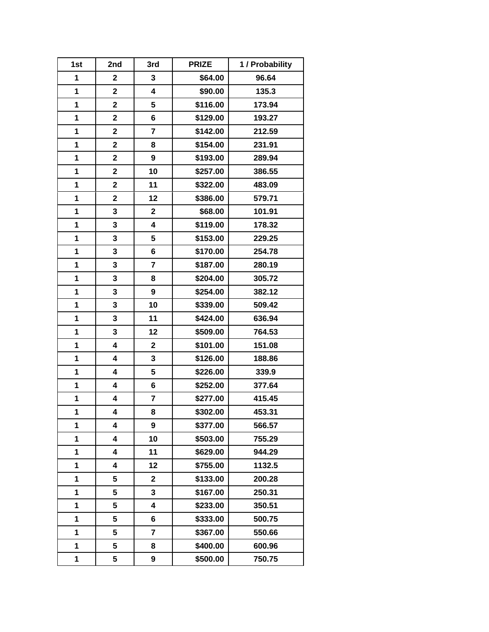| 1st          | 2nd                     | 3rd                     | <b>PRIZE</b> | 1 / Probability |
|--------------|-------------------------|-------------------------|--------------|-----------------|
| $\mathbf{1}$ | $\overline{2}$          | 3                       | \$64.00      | 96.64           |
| 1            | $\mathbf 2$             | 4                       | \$90.00      | 135.3           |
| 1            | $\mathbf 2$             | 5                       | \$116.00     | 173.94          |
| 1            | $\overline{\mathbf{2}}$ | 6                       | \$129.00     | 193.27          |
| 1            | $\overline{\mathbf{2}}$ | $\overline{7}$          | \$142.00     | 212.59          |
| 1            | $\mathbf 2$             | 8                       | \$154.00     | 231.91          |
| 1            | $\mathbf 2$             | 9                       | \$193.00     | 289.94          |
| 1            | $\mathbf 2$             | 10                      | \$257.00     | 386.55          |
| 1            | $\overline{\mathbf{2}}$ | 11                      | \$322.00     | 483.09          |
| 1            | $\overline{\mathbf{2}}$ | 12                      | \$386.00     | 579.71          |
| 1            | 3                       | $\mathbf 2$             | \$68.00      | 101.91          |
| 1            | 3                       | 4                       | \$119.00     | 178.32          |
| 1            | 3                       | 5                       | \$153.00     | 229.25          |
| 1            | 3                       | 6                       | \$170.00     | 254.78          |
| 1            | 3                       | $\overline{\mathbf{7}}$ | \$187.00     | 280.19          |
| 1            | 3                       | 8                       | \$204.00     | 305.72          |
| 1            | 3                       | 9                       | \$254.00     | 382.12          |
| 1            | 3                       | 10                      | \$339.00     | 509.42          |
| 1            | 3                       | 11                      | \$424.00     | 636.94          |
| 1            | 3                       | 12                      | \$509.00     | 764.53          |
| 1            | 4                       | $\mathbf 2$             | \$101.00     | 151.08          |
| 1            | 4                       | 3                       | \$126.00     | 188.86          |
| 1            | 4                       | 5                       | \$226.00     | 339.9           |
| 1            | 4                       | 6                       | \$252.00     | 377.64          |
| 1            | 4                       | $\overline{\mathbf{7}}$ | \$277.00     | 415.45          |
| 1            | 4                       | 8                       | \$302.00     | 453.31          |
| 1            | 4                       | 9                       | \$377.00     | 566.57          |
| 1            | 4                       | 10                      | \$503.00     | 755.29          |
| 1            | 4                       | 11                      | \$629.00     | 944.29          |
| 1            | 4                       | 12                      | \$755.00     | 1132.5          |
| 1            | 5                       | $\mathbf 2$             | \$133.00     | 200.28          |
| 1            | 5                       | 3                       | \$167.00     | 250.31          |
| 1            | 5                       | 4                       | \$233.00     | 350.51          |
| 1            | 5                       | 6                       | \$333.00     | 500.75          |
| 1            | 5                       | $\overline{\mathbf{r}}$ | \$367.00     | 550.66          |
| 1            | 5                       | 8                       | \$400.00     | 600.96          |
| 1            | 5                       | 9                       | \$500.00     | 750.75          |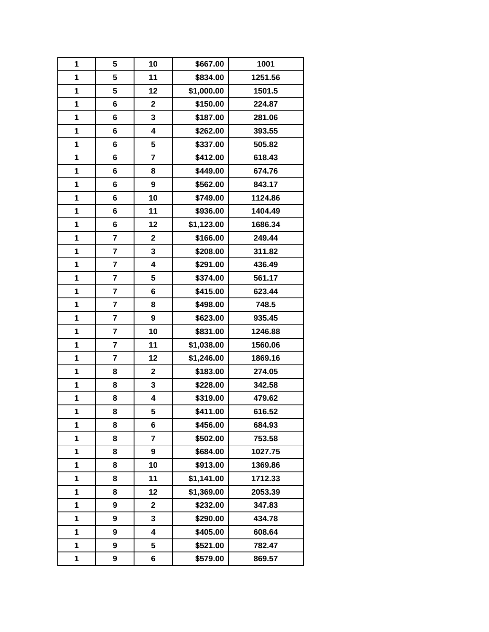| 1 | 5                       | 10                      | \$667.00   | 1001    |
|---|-------------------------|-------------------------|------------|---------|
| 1 | 5                       | 11                      | \$834.00   | 1251.56 |
| 1 | 5                       | 12                      | \$1,000.00 | 1501.5  |
| 1 | 6                       | $\mathbf 2$             | \$150.00   | 224.87  |
| 1 | 6                       | 3                       | \$187.00   | 281.06  |
| 1 | 6                       | 4                       | \$262.00   | 393.55  |
| 1 | 6                       | 5                       | \$337.00   | 505.82  |
| 1 | 6                       | 7                       | \$412.00   | 618.43  |
| 1 | 6                       | 8                       | \$449.00   | 674.76  |
| 1 | 6                       | $\boldsymbol{9}$        | \$562.00   | 843.17  |
| 1 | 6                       | 10                      | \$749.00   | 1124.86 |
| 1 | 6                       | 11                      | \$936.00   | 1404.49 |
| 1 | 6                       | 12                      | \$1,123.00 | 1686.34 |
| 1 | 7                       | $\mathbf 2$             | \$166.00   | 249.44  |
| 1 | $\overline{\mathbf{r}}$ | 3                       | \$208.00   | 311.82  |
| 1 | $\overline{\mathbf{r}}$ | 4                       | \$291.00   | 436.49  |
| 1 | $\overline{\mathbf{r}}$ | 5                       | \$374.00   | 561.17  |
| 1 | 7                       | 6                       | \$415.00   | 623.44  |
| 1 | 7                       | 8                       | \$498.00   | 748.5   |
| 1 | 7                       | 9                       | \$623.00   | 935.45  |
| 1 | $\overline{\mathbf{r}}$ | 10                      | \$831.00   | 1246.88 |
| 1 | $\overline{\mathbf{r}}$ | 11                      | \$1,038.00 | 1560.06 |
| 1 | $\overline{\mathbf{r}}$ | 12                      | \$1,246.00 | 1869.16 |
| 1 | 8                       | $\mathbf 2$             | \$183.00   | 274.05  |
| 1 | 8                       | 3                       | \$228.00   | 342.58  |
| 1 | 8                       | 4                       | \$319.00   | 479.62  |
| 1 | 8                       | 5                       | \$411.00   | 616.52  |
| 1 | 8                       | 6                       | \$456.00   | 684.93  |
| 1 | 8                       | $\overline{7}$          | \$502.00   | 753.58  |
| 1 | 8                       | 9                       | \$684.00   | 1027.75 |
| 1 | 8                       | 10                      | \$913.00   | 1369.86 |
| 1 | 8                       | 11                      | \$1,141.00 | 1712.33 |
| 1 | 8                       | 12                      | \$1,369.00 | 2053.39 |
| 1 | 9                       | $\overline{\mathbf{2}}$ | \$232.00   | 347.83  |
| 1 | 9                       | 3                       | \$290.00   | 434.78  |
| 1 | 9                       | 4                       | \$405.00   | 608.64  |
| 1 | 9                       | 5                       | \$521.00   | 782.47  |
| 1 | 9                       | 6                       | \$579.00   | 869.57  |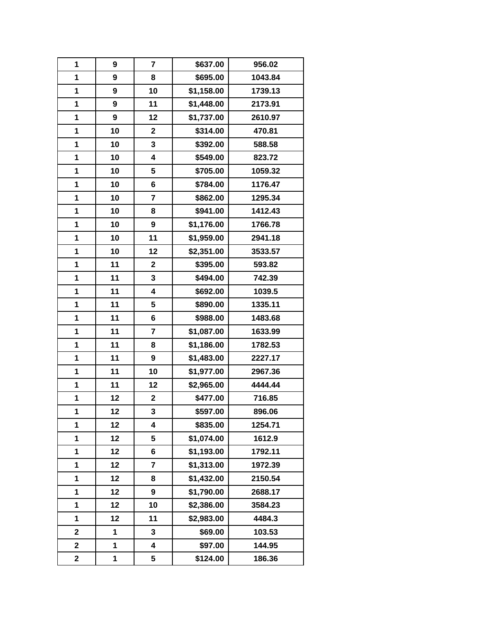| 1                       | 9  | $\overline{\mathbf{r}}$ | \$637.00   | 956.02  |
|-------------------------|----|-------------------------|------------|---------|
| 1                       | 9  | 8                       | \$695.00   | 1043.84 |
| $\mathbf{1}$            | 9  | 10                      | \$1,158.00 | 1739.13 |
| 1                       | 9  | 11                      | \$1,448.00 | 2173.91 |
| 1                       | 9  | 12                      | \$1,737.00 | 2610.97 |
| 1                       | 10 | $\mathbf 2$             | \$314.00   | 470.81  |
| 1                       | 10 | 3                       | \$392.00   | 588.58  |
| 1                       | 10 | $\overline{\mathbf{4}}$ | \$549.00   | 823.72  |
| 1                       | 10 | 5                       | \$705.00   | 1059.32 |
| 1                       | 10 | 6                       | \$784.00   | 1176.47 |
| 1                       | 10 | $\overline{\mathbf{r}}$ | \$862.00   | 1295.34 |
| 1                       | 10 | 8                       | \$941.00   | 1412.43 |
| 1                       | 10 | 9                       | \$1,176.00 | 1766.78 |
| 1                       | 10 | 11                      | \$1,959.00 | 2941.18 |
| 1                       | 10 | 12                      | \$2,351.00 | 3533.57 |
| 1                       | 11 | $\mathbf 2$             | \$395.00   | 593.82  |
| 1                       | 11 | 3                       | \$494.00   | 742.39  |
| 1                       | 11 | 4                       | \$692.00   | 1039.5  |
| 1                       | 11 | 5                       | \$890.00   | 1335.11 |
| 1                       | 11 | 6                       | \$988.00   | 1483.68 |
| 1                       | 11 | $\overline{\mathbf{r}}$ | \$1,087.00 | 1633.99 |
| 1                       | 11 | 8                       | \$1,186.00 | 1782.53 |
| 1                       | 11 | 9                       | \$1,483.00 | 2227.17 |
| 1                       | 11 | 10                      | \$1,977.00 | 2967.36 |
| 1                       | 11 | 12                      | \$2,965.00 | 4444.44 |
| 1                       | 12 | $\mathbf 2$             | \$477.00   | 716.85  |
| 1                       | 12 | 3                       | \$597.00   | 896.06  |
| 1                       | 12 | 4                       | \$835.00   | 1254.71 |
| 1                       | 12 | 5                       | \$1,074.00 | 1612.9  |
| 1                       | 12 | 6                       | \$1,193.00 | 1792.11 |
| 1                       | 12 | 7                       | \$1,313.00 | 1972.39 |
| 1                       | 12 | 8                       | \$1,432.00 | 2150.54 |
| 1                       | 12 | 9                       | \$1,790.00 | 2688.17 |
| 1                       | 12 | 10                      | \$2,386.00 | 3584.23 |
| 1                       | 12 | 11                      | \$2,983.00 | 4484.3  |
| $\overline{\mathbf{2}}$ | 1  | 3                       | \$69.00    | 103.53  |
| $\mathbf 2$             | 1  | 4                       | \$97.00    | 144.95  |
| 2                       | 1  | 5                       | \$124.00   | 186.36  |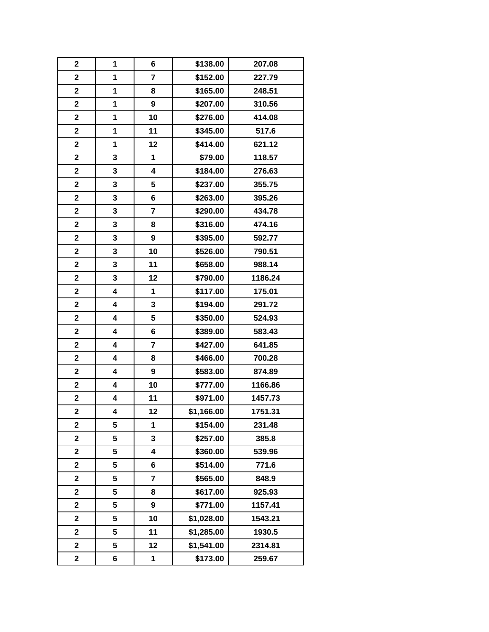| $\mathbf 2$             | 1 | 6                       | \$138.00   | 207.08  |
|-------------------------|---|-------------------------|------------|---------|
| $\overline{\mathbf{2}}$ | 1 | $\overline{7}$          | \$152.00   | 227.79  |
| $\mathbf 2$             | 1 | 8                       | \$165.00   | 248.51  |
| $\mathbf 2$             | 1 | $\boldsymbol{9}$        | \$207.00   | 310.56  |
| $\overline{\mathbf{2}}$ | 1 | 10                      | \$276.00   | 414.08  |
| $\mathbf{2}$            | 1 | 11                      | \$345.00   | 517.6   |
| $\mathbf 2$             | 1 | 12                      | \$414.00   | 621.12  |
| $\mathbf 2$             | 3 | 1                       | \$79.00    | 118.57  |
| $\mathbf 2$             | 3 | $\overline{\mathbf{4}}$ | \$184.00   | 276.63  |
| $\overline{\mathbf{2}}$ | 3 | 5                       | \$237.00   | 355.75  |
| $\mathbf{2}$            | 3 | 6                       | \$263.00   | 395.26  |
| $\mathbf 2$             | 3 | $\overline{7}$          | \$290.00   | 434.78  |
| $\mathbf 2$             | 3 | 8                       | \$316.00   | 474.16  |
| $\mathbf 2$             | 3 | 9                       | \$395.00   | 592.77  |
| $\mathbf 2$             | 3 | 10                      | \$526.00   | 790.51  |
| $\mathbf 2$             | 3 | 11                      | \$658.00   | 988.14  |
| $\mathbf 2$             | 3 | 12                      | \$790.00   | 1186.24 |
| $\mathbf 2$             | 4 | 1                       | \$117.00   | 175.01  |
| $\mathbf 2$             | 4 | 3                       | \$194.00   | 291.72  |
| $\mathbf 2$             | 4 | 5                       | \$350.00   | 524.93  |
| $\mathbf 2$             | 4 | 6                       | \$389.00   | 583.43  |
| $\mathbf 2$             | 4 | $\overline{7}$          | \$427.00   | 641.85  |
| $\mathbf{2}$            | 4 | 8                       | \$466.00   | 700.28  |
| $\overline{\mathbf{2}}$ | 4 | $\boldsymbol{9}$        | \$583.00   | 874.89  |
| $\mathbf 2$             | 4 | 10                      | \$777.00   | 1166.86 |
| $\mathbf 2$             | 4 | 11                      | \$971.00   | 1457.73 |
| $\overline{\mathbf{2}}$ | 4 | 12                      | \$1,166.00 | 1751.31 |
| $\mathbf 2$             | 5 | 1                       | \$154.00   | 231.48  |
| $\overline{\mathbf{2}}$ | 5 | 3                       | \$257.00   | 385.8   |
| $\mathbf 2$             | 5 | 4                       | \$360.00   | 539.96  |
| $\overline{\mathbf{2}}$ | 5 | 6                       | \$514.00   | 771.6   |
| 2                       | 5 | $\overline{\mathbf{r}}$ | \$565.00   | 848.9   |
| $\mathbf 2$             | 5 | 8                       | \$617.00   | 925.93  |
| $\overline{\mathbf{2}}$ | 5 | $\boldsymbol{9}$        | \$771.00   | 1157.41 |
| $\mathbf 2$             | 5 | 10                      | \$1,028.00 | 1543.21 |
| $\overline{\mathbf{2}}$ | 5 | 11                      | \$1,285.00 | 1930.5  |
| 2                       | 5 | 12                      | \$1,541.00 | 2314.81 |
| $\mathbf 2$             | 6 | 1                       | \$173.00   | 259.67  |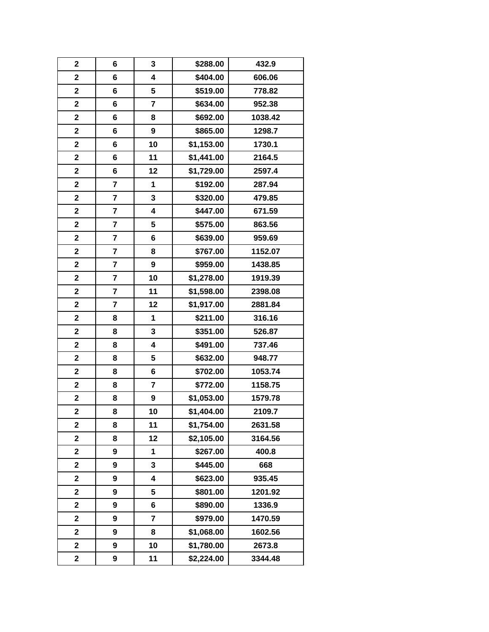| $\mathbf 2$             | 6                       | 3                | \$288.00   | 432.9   |
|-------------------------|-------------------------|------------------|------------|---------|
| $\overline{\mathbf{2}}$ | 6                       | 4                | \$404.00   | 606.06  |
| $\mathbf 2$             | 6                       | 5                | \$519.00   | 778.82  |
| $\mathbf 2$             | 6                       | $\overline{7}$   | \$634.00   | 952.38  |
| $\overline{\mathbf{2}}$ | 6                       | 8                | \$692.00   | 1038.42 |
| $\mathbf{2}$            | 6                       | $\boldsymbol{9}$ | \$865.00   | 1298.7  |
| $\overline{\mathbf{2}}$ | 6                       | 10               | \$1,153.00 | 1730.1  |
| $\mathbf 2$             | 6                       | 11               | \$1,441.00 | 2164.5  |
| $\mathbf{2}$            | 6                       | 12               | \$1,729.00 | 2597.4  |
| $\overline{\mathbf{2}}$ | 7                       | 1                | \$192.00   | 287.94  |
| $\overline{\mathbf{2}}$ | $\overline{\mathbf{7}}$ | $\mathbf{3}$     | \$320.00   | 479.85  |
| $\overline{\mathbf{2}}$ | $\overline{\mathbf{r}}$ | 4                | \$447.00   | 671.59  |
| $\mathbf 2$             | 7                       | 5                | \$575.00   | 863.56  |
| $\mathbf 2$             | $\overline{\mathbf{r}}$ | 6                | \$639.00   | 959.69  |
| $\overline{\mathbf{2}}$ | $\overline{\mathbf{r}}$ | 8                | \$767.00   | 1152.07 |
| $\mathbf{2}$            | $\overline{\mathbf{r}}$ | $\boldsymbol{9}$ | \$959.00   | 1438.85 |
| $\overline{\mathbf{2}}$ | $\overline{\mathbf{r}}$ | 10               | \$1,278.00 | 1919.39 |
| $\mathbf 2$             | $\overline{\mathbf{r}}$ | 11               | \$1,598.00 | 2398.08 |
| $\mathbf 2$             | 7                       | 12               | \$1,917.00 | 2881.84 |
| $\mathbf 2$             | 8                       | 1                | \$211.00   | 316.16  |
| $\mathbf{2}$            | 8                       | $\mathbf{3}$     | \$351.00   | 526.87  |
| $\mathbf 2$             | 8                       | 4                | \$491.00   | 737.46  |
| $\mathbf 2$             | 8                       | 5                | \$632.00   | 948.77  |
| $\overline{\mathbf{2}}$ | 8                       | 6                | \$702.00   | 1053.74 |
| $\mathbf 2$             | 8                       | $\overline{7}$   | \$772.00   | 1158.75 |
| $\mathbf 2$             | 8                       | 9                | \$1,053.00 | 1579.78 |
| $\overline{\mathbf{2}}$ | 8                       | 10               | \$1,404.00 | 2109.7  |
| $\mathbf 2$             | 8                       | 11               | \$1,754.00 | 2631.58 |
| $\overline{\mathbf{2}}$ | 8                       | 12               | \$2,105.00 | 3164.56 |
| $\overline{\mathbf{2}}$ | 9                       | 1                | \$267.00   | 400.8   |
| $\overline{\mathbf{2}}$ | 9                       | 3                | \$445.00   | 668     |
| 2                       | 9                       | 4                | \$623.00   | 935.45  |
| $\mathbf 2$             | 9                       | 5                | \$801.00   | 1201.92 |
| $\overline{\mathbf{2}}$ | 9                       | 6                | \$890.00   | 1336.9  |
| $\mathbf 2$             | 9                       | $\overline{7}$   | \$979.00   | 1470.59 |
| 2                       | 9                       | 8                | \$1,068.00 | 1602.56 |
| 2                       | 9                       | 10               | \$1,780.00 | 2673.8  |
| 2                       | 9                       | 11               | \$2,224.00 | 3344.48 |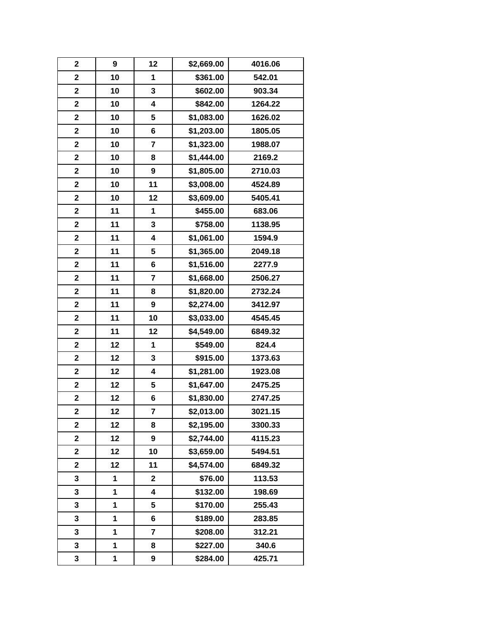| $\mathbf{2}$            | 9  | 12                      | \$2,669.00 | 4016.06 |
|-------------------------|----|-------------------------|------------|---------|
| $\overline{\mathbf{2}}$ | 10 | 1                       | \$361.00   | 542.01  |
| $\mathbf 2$             | 10 | 3                       | \$602.00   | 903.34  |
| $\mathbf 2$             | 10 | $\overline{\mathbf{4}}$ | \$842.00   | 1264.22 |
| $\overline{\mathbf{2}}$ | 10 | 5                       | \$1,083.00 | 1626.02 |
| $\mathbf 2$             | 10 | 6                       | \$1,203.00 | 1805.05 |
| $\mathbf 2$             | 10 | $\overline{7}$          | \$1,323.00 | 1988.07 |
| $\mathbf 2$             | 10 | 8                       | \$1,444.00 | 2169.2  |
| $\mathbf 2$             | 10 | $\boldsymbol{9}$        | \$1,805.00 | 2710.03 |
| $\overline{\mathbf{2}}$ | 10 | 11                      | \$3,008.00 | 4524.89 |
| $\overline{\mathbf{2}}$ | 10 | 12                      | \$3,609.00 | 5405.41 |
| $\mathbf 2$             | 11 | 1                       | \$455.00   | 683.06  |
| $\mathbf 2$             | 11 | 3                       | \$758.00   | 1138.95 |
| $\mathbf 2$             | 11 | 4                       | \$1,061.00 | 1594.9  |
| $\overline{\mathbf{2}}$ | 11 | 5                       | \$1,365.00 | 2049.18 |
| $\mathbf 2$             | 11 | 6                       | \$1,516.00 | 2277.9  |
| $\overline{\mathbf{2}}$ | 11 | $\overline{7}$          | \$1,668.00 | 2506.27 |
| $\mathbf 2$             | 11 | 8                       | \$1,820.00 | 2732.24 |
| $\mathbf 2$             | 11 | 9                       | \$2,274.00 | 3412.97 |
| $\mathbf 2$             | 11 | 10                      | \$3,033.00 | 4545.45 |
| $\mathbf 2$             | 11 | 12                      | \$4,549.00 | 6849.32 |
| $\overline{\mathbf{2}}$ | 12 | 1                       | \$549.00   | 824.4   |
| $\mathbf 2$             | 12 | 3                       | \$915.00   | 1373.63 |
| $\overline{\mathbf{2}}$ | 12 | 4                       | \$1,281.00 | 1923.08 |
| $\mathbf 2$             | 12 | 5                       | \$1,647.00 | 2475.25 |
| $\mathbf 2$             | 12 | 6                       | \$1,830.00 | 2747.25 |
| $\overline{\mathbf{2}}$ | 12 | 7                       | \$2,013.00 | 3021.15 |
| $\mathbf 2$             | 12 | 8                       | \$2,195.00 | 3300.33 |
| $\overline{\mathbf{2}}$ | 12 | 9                       | \$2,744.00 | 4115.23 |
| $\mathbf 2$             | 12 | 10                      | \$3,659.00 | 5494.51 |
| $\overline{\mathbf{2}}$ | 12 | 11                      | \$4,574.00 | 6849.32 |
| 3                       | 1  | $\mathbf 2$             | \$76.00    | 113.53  |
| 3                       | 1  | 4                       | \$132.00   | 198.69  |
| 3                       | 1  | 5                       | \$170.00   | 255.43  |
| 3                       | 1  | 6                       | \$189.00   | 283.85  |
| 3                       | 1  | $\overline{\mathbf{r}}$ | \$208.00   | 312.21  |
| 3                       | 1  | 8                       | \$227.00   | 340.6   |
| 3                       | 1  | 9                       | \$284.00   | 425.71  |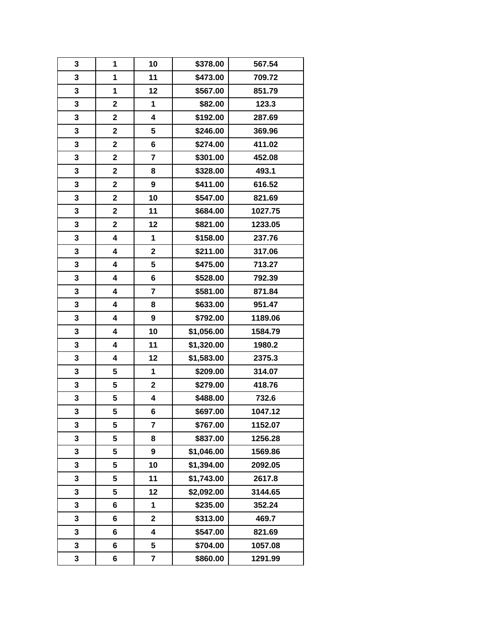| 3            | 1                       | 10                      | \$378.00   | 567.54  |
|--------------|-------------------------|-------------------------|------------|---------|
| 3            | 1                       | 11                      | \$473.00   | 709.72  |
| 3            | 1                       | 12                      | \$567.00   | 851.79  |
| $\mathbf 3$  | $\mathbf 2$             | 1                       | \$82.00    | 123.3   |
| 3            | 2                       | 4                       | \$192.00   | 287.69  |
| 3            | $\overline{\mathbf{2}}$ | 5                       | \$246.00   | 369.96  |
| 3            | $\overline{\mathbf{2}}$ | 6                       | \$274.00   | 411.02  |
| 3            | $\mathbf 2$             | $\overline{\mathbf{7}}$ | \$301.00   | 452.08  |
| $\mathbf 3$  | $\mathbf 2$             | 8                       | \$328.00   | 493.1   |
| 3            | $\mathbf 2$             | $\boldsymbol{9}$        | \$411.00   | 616.52  |
| 3            | $\overline{\mathbf{2}}$ | 10                      | \$547.00   | 821.69  |
| 3            | $\mathbf 2$             | 11                      | \$684.00   | 1027.75 |
| 3            | $\mathbf 2$             | 12                      | \$821.00   | 1233.05 |
| 3            | 4                       | 1                       | \$158.00   | 237.76  |
| 3            | 4                       | $\mathbf{2}$            | \$211.00   | 317.06  |
| 3            | 4                       | 5                       | \$475.00   | 713.27  |
| 3            | 4                       | 6                       | \$528.00   | 792.39  |
| $\mathbf{3}$ | 4                       | $\overline{7}$          | \$581.00   | 871.84  |
| 3            | 4                       | 8                       | \$633.00   | 951.47  |
| 3            | 4                       | $\boldsymbol{9}$        | \$792.00   | 1189.06 |
| $\mathbf{3}$ | 4                       | 10                      | \$1,056.00 | 1584.79 |
| 3            | 4                       | 11                      | \$1,320.00 | 1980.2  |
| $\mathbf{3}$ | 4                       | 12                      | \$1,583.00 | 2375.3  |
| 3            | 5                       | 1                       | \$209.00   | 314.07  |
| 3            | 5                       | $\mathbf 2$             | \$279.00   | 418.76  |
| 3            | 5                       | 4                       | \$488.00   | 732.6   |
| 3            | 5                       | 6                       | \$697.00   | 1047.12 |
| 3            | 5                       | $\overline{7}$          | \$767.00   | 1152.07 |
| 3            | 5                       | 8                       | \$837.00   | 1256.28 |
| 3            | 5                       | 9                       | \$1,046.00 | 1569.86 |
| 3            | 5                       | 10                      | \$1,394.00 | 2092.05 |
| 3            | 5                       | 11                      | \$1,743.00 | 2617.8  |
| 3            | 5                       | 12                      | \$2,092.00 | 3144.65 |
| 3            | 6                       | 1                       | \$235.00   | 352.24  |
| 3            | 6                       | $\mathbf 2$             | \$313.00   | 469.7   |
| 3            | 6                       | 4                       | \$547.00   | 821.69  |
| 3            | 6                       | 5                       | \$704.00   | 1057.08 |
| 3            | 6                       | 7                       | \$860.00   | 1291.99 |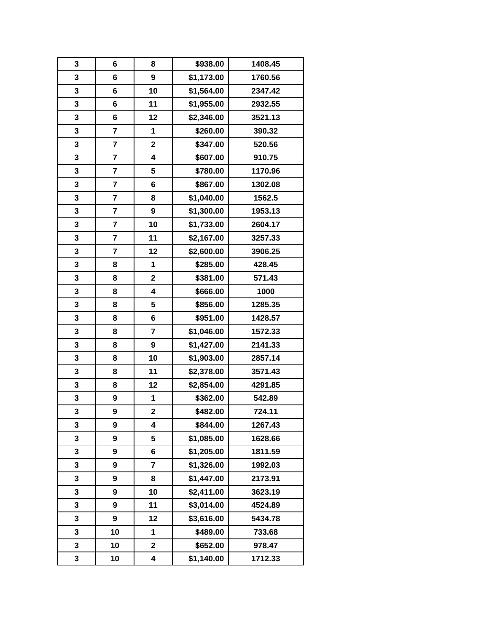| 3 | 6                       | 8                       | \$938.00   | 1408.45 |
|---|-------------------------|-------------------------|------------|---------|
| 3 | 6                       | $\boldsymbol{9}$        | \$1,173.00 | 1760.56 |
| 3 | 6                       | 10                      | \$1,564.00 | 2347.42 |
| 3 | 6                       | 11                      | \$1,955.00 | 2932.55 |
| 3 | 6                       | 12                      | \$2,346.00 | 3521.13 |
| 3 | $\overline{\mathbf{7}}$ | 1                       | \$260.00   | 390.32  |
| 3 | $\overline{\mathbf{r}}$ | $\overline{\mathbf{2}}$ | \$347.00   | 520.56  |
| 3 | $\overline{\mathbf{7}}$ | $\overline{\mathbf{4}}$ | \$607.00   | 910.75  |
| 3 | 7                       | 5                       | \$780.00   | 1170.96 |
| 3 | 7                       | 6                       | \$867.00   | 1302.08 |
| 3 | $\overline{\mathbf{r}}$ | 8                       | \$1,040.00 | 1562.5  |
| 3 | $\overline{\mathbf{r}}$ | $\boldsymbol{9}$        | \$1,300.00 | 1953.13 |
| 3 | $\overline{\mathbf{r}}$ | 10                      | \$1,733.00 | 2604.17 |
| 3 | 7                       | 11                      | \$2,167.00 | 3257.33 |
| 3 | 7                       | 12                      | \$2,600.00 | 3906.25 |
| 3 | 8                       | 1                       | \$285.00   | 428.45  |
| 3 | 8                       | $\overline{\mathbf{2}}$ | \$381.00   | 571.43  |
| 3 | 8                       | $\overline{\mathbf{4}}$ | \$666.00   | 1000    |
| 3 | 8                       | 5                       | \$856.00   | 1285.35 |
| 3 | 8                       | 6                       | \$951.00   | 1428.57 |
| 3 | 8                       | $\overline{7}$          | \$1,046.00 | 1572.33 |
| 3 | 8                       | 9                       | \$1,427.00 | 2141.33 |
| 3 | 8                       | 10                      | \$1,903.00 | 2857.14 |
| 3 | 8                       | 11                      | \$2,378.00 | 3571.43 |
| 3 | 8                       | 12                      | \$2,854.00 | 4291.85 |
| 3 | 9                       | 1                       | \$362.00   | 542.89  |
| 3 | 9                       | $\overline{\mathbf{2}}$ | \$482.00   | 724.11  |
| 3 | 9                       | 4                       | \$844.00   | 1267.43 |
| 3 | 9                       | 5                       | \$1,085.00 | 1628.66 |
| 3 | 9                       | 6                       | \$1,205.00 | 1811.59 |
| 3 | 9                       | $\overline{7}$          | \$1,326.00 | 1992.03 |
| 3 | 9                       | 8                       | \$1,447.00 | 2173.91 |
| 3 | 9                       | 10                      | \$2,411.00 | 3623.19 |
| 3 | 9                       | 11                      | \$3,014.00 | 4524.89 |
| 3 | 9                       | 12                      | \$3,616.00 | 5434.78 |
| 3 | 10                      | 1                       | \$489.00   | 733.68  |
| 3 | 10                      | $\mathbf 2$             | \$652.00   | 978.47  |
| 3 | 10                      | 4                       | \$1,140.00 | 1712.33 |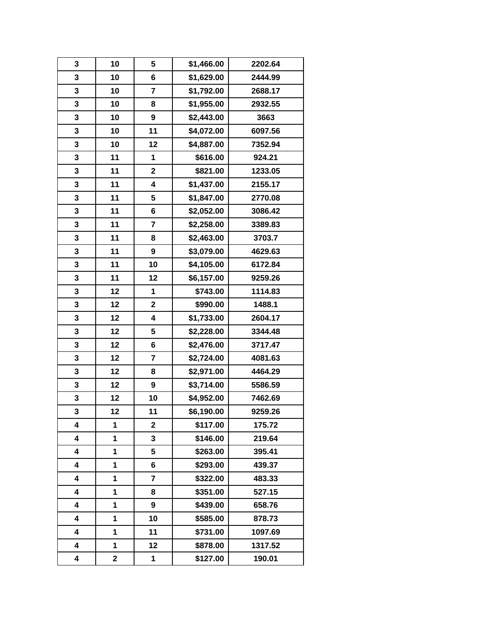| 3 | 10 | 5                       | \$1,466.00 | 2202.64 |
|---|----|-------------------------|------------|---------|
| 3 | 10 | 6                       | \$1,629.00 | 2444.99 |
| 3 | 10 | $\overline{7}$          | \$1,792.00 | 2688.17 |
| 3 | 10 | 8                       | \$1,955.00 | 2932.55 |
| 3 | 10 | 9                       | \$2,443.00 | 3663    |
| 3 | 10 | 11                      | \$4,072.00 | 6097.56 |
| 3 | 10 | 12                      | \$4,887.00 | 7352.94 |
| 3 | 11 | 1                       | \$616.00   | 924.21  |
| 3 | 11 | $\mathbf 2$             | \$821.00   | 1233.05 |
| 3 | 11 | 4                       | \$1,437.00 | 2155.17 |
| 3 | 11 | 5                       | \$1,847.00 | 2770.08 |
| 3 | 11 | 6                       | \$2,052.00 | 3086.42 |
| 3 | 11 | $\overline{\mathbf{r}}$ | \$2,258.00 | 3389.83 |
| 3 | 11 | 8                       | \$2,463.00 | 3703.7  |
| 3 | 11 | $\boldsymbol{9}$        | \$3,079.00 | 4629.63 |
| 3 | 11 | 10                      | \$4,105.00 | 6172.84 |
| 3 | 11 | 12                      | \$6,157.00 | 9259.26 |
| 3 | 12 | 1                       | \$743.00   | 1114.83 |
| 3 | 12 | $\mathbf 2$             | \$990.00   | 1488.1  |
| 3 | 12 | $\overline{\mathbf{4}}$ | \$1,733.00 | 2604.17 |
| 3 | 12 | 5                       | \$2,228.00 | 3344.48 |
| 3 | 12 | 6                       | \$2,476.00 | 3717.47 |
| 3 | 12 | $\overline{7}$          | \$2,724.00 | 4081.63 |
| 3 | 12 | 8                       | \$2,971.00 | 4464.29 |
| 3 | 12 | $\boldsymbol{9}$        | \$3,714.00 | 5586.59 |
| 3 | 12 | 10                      | \$4,952.00 | 7462.69 |
| 3 | 12 | 11                      | \$6,190.00 | 9259.26 |
| 4 | 1  | $\mathbf 2$             | \$117.00   | 175.72  |
| 4 | 1  | 3                       | \$146.00   | 219.64  |
| 4 | 1  | 5                       | \$263.00   | 395.41  |
| 4 | 1  | 6                       | \$293.00   | 439.37  |
| 4 | 1  | 7                       | \$322.00   | 483.33  |
| 4 | 1  | 8                       | \$351.00   | 527.15  |
| 4 | 1  | 9                       | \$439.00   | 658.76  |
| 4 | 1  | 10                      | \$585.00   | 878.73  |
| 4 | 1  | 11                      | \$731.00   | 1097.69 |
| 4 | 1  | 12                      | \$878.00   | 1317.52 |
| 4 | 2  | 1                       | \$127.00   | 190.01  |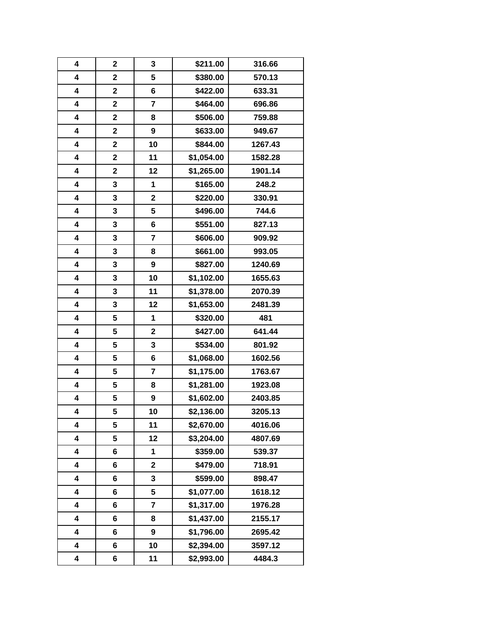| 4                       | $\mathbf 2$             | 3                       | \$211.00   | 316.66  |
|-------------------------|-------------------------|-------------------------|------------|---------|
| 4                       | $\overline{\mathbf{2}}$ | 5                       | \$380.00   | 570.13  |
| $\overline{\mathbf{4}}$ | $\overline{\mathbf{2}}$ | 6                       | \$422.00   | 633.31  |
| 4                       | $\mathbf 2$             | $\overline{7}$          | \$464.00   | 696.86  |
| 4                       | 2                       | 8                       | \$506.00   | 759.88  |
| 4                       | $\mathbf 2$             | $\boldsymbol{9}$        | \$633.00   | 949.67  |
| 4                       | $\overline{\mathbf{2}}$ | 10                      | \$844.00   | 1267.43 |
| 4                       | $\mathbf 2$             | 11                      | \$1,054.00 | 1582.28 |
| 4                       | $\mathbf 2$             | 12                      | \$1,265.00 | 1901.14 |
| 4                       | 3                       | 1                       | \$165.00   | 248.2   |
| 4                       | 3                       | $\overline{\mathbf{2}}$ | \$220.00   | 330.91  |
| 4                       | 3                       | 5                       | \$496.00   | 744.6   |
| 4                       | 3                       | 6                       | \$551.00   | 827.13  |
| 4                       | 3                       | $\overline{7}$          | \$606.00   | 909.92  |
| 4                       | 3                       | 8                       | \$661.00   | 993.05  |
| 4                       | 3                       | $\boldsymbol{9}$        | \$827.00   | 1240.69 |
| 4                       | 3                       | 10                      | \$1,102.00 | 1655.63 |
| 4                       | 3                       | 11                      | \$1,378.00 | 2070.39 |
| 4                       | 3                       | 12                      | \$1,653.00 | 2481.39 |
| 4                       | 5                       | 1                       | \$320.00   | 481     |
| 4                       | 5                       | $\mathbf{2}$            | \$427.00   | 641.44  |
| 4                       | 5                       | 3                       | \$534.00   | 801.92  |
| 4                       | 5                       | 6                       | \$1,068.00 | 1602.56 |
| 4                       | 5                       | $\overline{\mathbf{r}}$ | \$1,175.00 | 1763.67 |
| 4                       | 5                       | 8                       | \$1,281.00 | 1923.08 |
| 4                       | 5                       | 9                       | \$1,602.00 | 2403.85 |
| 4                       | 5                       | 10                      | \$2,136.00 | 3205.13 |
| 4                       | 5                       | 11                      | \$2,670.00 | 4016.06 |
| 4                       | 5                       | 12                      | \$3,204.00 | 4807.69 |
| 4                       | 6                       | 1                       | \$359.00   | 539.37  |
| 4                       | 6                       | $\overline{\mathbf{2}}$ | \$479.00   | 718.91  |
| 4                       | 6                       | 3                       | \$599.00   | 898.47  |
| 4                       | 6                       | 5                       | \$1,077.00 | 1618.12 |
| 4                       | 6                       | $\overline{\mathbf{r}}$ | \$1,317.00 | 1976.28 |
| 4                       | 6                       | 8                       | \$1,437.00 | 2155.17 |
| 4                       | 6                       | 9                       | \$1,796.00 | 2695.42 |
| 4                       | 6                       | 10                      | \$2,394.00 | 3597.12 |
| 4                       | 6                       | 11                      | \$2,993.00 | 4484.3  |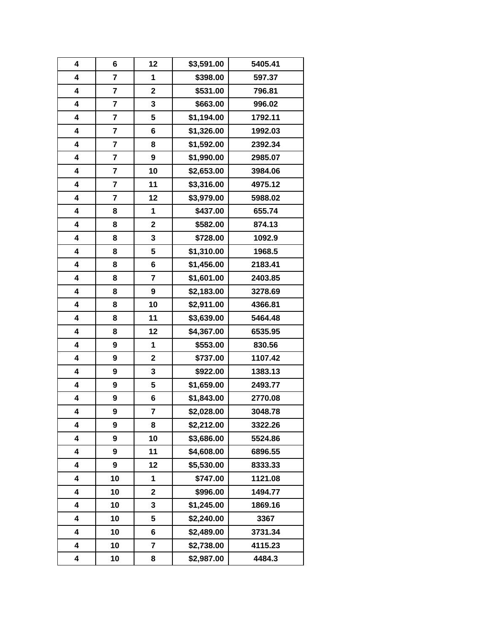| 4 | 6                       | 12             | \$3,591.00 | 5405.41 |
|---|-------------------------|----------------|------------|---------|
| 4 | $\overline{7}$          | 1              | \$398.00   | 597.37  |
| 4 | $\overline{\mathbf{r}}$ | $\mathbf 2$    | \$531.00   | 796.81  |
| 4 | $\overline{\mathbf{7}}$ | 3              | \$663.00   | 996.02  |
| 4 | 7                       | 5              | \$1,194.00 | 1792.11 |
| 4 | $\overline{\mathbf{r}}$ | 6              | \$1,326.00 | 1992.03 |
| 4 | $\overline{\mathbf{r}}$ | 8              | \$1,592.00 | 2392.34 |
| 4 | 7                       | 9              | \$1,990.00 | 2985.07 |
| 4 | $\overline{\mathbf{7}}$ | 10             | \$2,653.00 | 3984.06 |
| 4 | 7                       | 11             | \$3,316.00 | 4975.12 |
| 4 | $\overline{\mathbf{r}}$ | 12             | \$3,979.00 | 5988.02 |
| 4 | 8                       | 1              | \$437.00   | 655.74  |
| 4 | 8                       | $\mathbf 2$    | \$582.00   | 874.13  |
| 4 | 8                       | 3              | \$728.00   | 1092.9  |
| 4 | 8                       | 5              | \$1,310.00 | 1968.5  |
| 4 | 8                       | 6              | \$1,456.00 | 2183.41 |
| 4 | 8                       | $\overline{7}$ | \$1,601.00 | 2403.85 |
| 4 | 8                       | 9              | \$2,183.00 | 3278.69 |
| 4 | 8                       | 10             | \$2,911.00 | 4366.81 |
| 4 | 8                       | 11             | \$3,639.00 | 5464.48 |
| 4 | 8                       | 12             | \$4,367.00 | 6535.95 |
| 4 | 9                       | 1              | \$553.00   | 830.56  |
| 4 | 9                       | $\mathbf 2$    | \$737.00   | 1107.42 |
| 4 | 9                       | 3              | \$922.00   | 1383.13 |
| 4 | 9                       | 5              | \$1,659.00 | 2493.77 |
| 4 | 9                       | 6              | \$1,843.00 | 2770.08 |
| 4 | 9                       | 7              | \$2,028.00 | 3048.78 |
| 4 | 9                       | 8              | \$2,212.00 | 3322.26 |
| 4 | 9                       | 10             | \$3,686.00 | 5524.86 |
| 4 | 9                       | 11             | \$4,608.00 | 6896.55 |
| 4 | 9                       | 12             | \$5,530.00 | 8333.33 |
| 4 | 10                      | 1              | \$747.00   | 1121.08 |
| 4 | 10                      | $\mathbf 2$    | \$996.00   | 1494.77 |
| 4 | 10                      | 3              | \$1,245.00 | 1869.16 |
| 4 | 10                      | 5              | \$2,240.00 | 3367    |
| 4 | 10                      | 6              | \$2,489.00 | 3731.34 |
| 4 | 10                      | 7              | \$2,738.00 | 4115.23 |
| 4 | 10                      | 8              | \$2,987.00 | 4484.3  |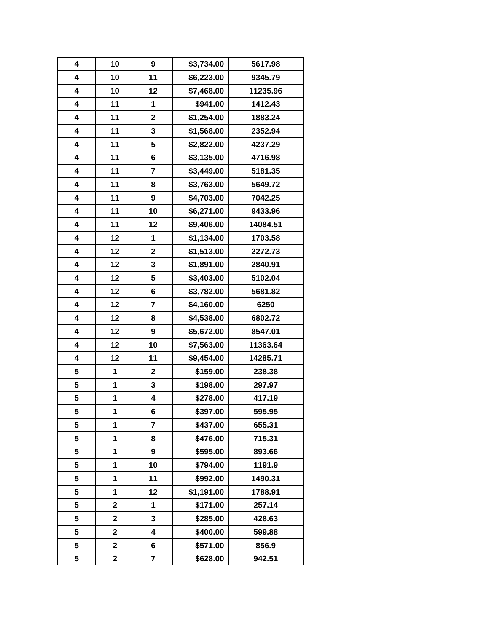| 4 | 10                      | 9                       | \$3,734.00 | 5617.98  |
|---|-------------------------|-------------------------|------------|----------|
| 4 | 10                      | 11                      | \$6,223.00 | 9345.79  |
| 4 | 10                      | 12                      | \$7,468.00 | 11235.96 |
| 4 | 11                      | 1                       | \$941.00   | 1412.43  |
| 4 | 11                      | $\mathbf 2$             | \$1,254.00 | 1883.24  |
| 4 | 11                      | 3                       | \$1,568.00 | 2352.94  |
| 4 | 11                      | 5                       | \$2,822.00 | 4237.29  |
| 4 | 11                      | 6                       | \$3,135.00 | 4716.98  |
| 4 | 11                      | $\overline{7}$          | \$3,449.00 | 5181.35  |
| 4 | 11                      | 8                       | \$3,763.00 | 5649.72  |
| 4 | 11                      | $\boldsymbol{9}$        | \$4,703.00 | 7042.25  |
| 4 | 11                      | 10                      | \$6,271.00 | 9433.96  |
| 4 | 11                      | 12                      | \$9,406.00 | 14084.51 |
| 4 | 12                      | 1                       | \$1,134.00 | 1703.58  |
| 4 | 12                      | $\mathbf 2$             | \$1,513.00 | 2272.73  |
| 4 | 12                      | 3                       | \$1,891.00 | 2840.91  |
| 4 | 12                      | 5                       | \$3,403.00 | 5102.04  |
| 4 | 12                      | 6                       | \$3,782.00 | 5681.82  |
| 4 | 12                      | 7                       | \$4,160.00 | 6250     |
| 4 | 12                      | 8                       | \$4,538.00 | 6802.72  |
| 4 | 12                      | $\boldsymbol{9}$        | \$5,672.00 | 8547.01  |
| 4 | 12                      | 10                      | \$7,563.00 | 11363.64 |
| 4 | 12                      | 11                      | \$9,454.00 | 14285.71 |
| 5 | 1                       | $\mathbf 2$             | \$159.00   | 238.38   |
| 5 | 1                       | 3                       | \$198.00   | 297.97   |
| 5 | 1                       | 4                       | \$278.00   | 417.19   |
| 5 | 1                       | 6                       | \$397.00   | 595.95   |
| 5 | 1                       | $\overline{7}$          | \$437.00   | 655.31   |
| 5 | 1                       | 8                       | \$476.00   | 715.31   |
| 5 | 1                       | 9                       | \$595.00   | 893.66   |
| 5 | 1                       | 10                      | \$794.00   | 1191.9   |
| 5 | 1                       | 11                      | \$992.00   | 1490.31  |
| 5 | 1                       | 12                      | \$1,191.00 | 1788.91  |
| 5 | 2                       | 1                       | \$171.00   | 257.14   |
| 5 | $\mathbf 2$             | 3                       | \$285.00   | 428.63   |
| 5 | $\overline{\mathbf{2}}$ | 4                       | \$400.00   | 599.88   |
| 5 | 2                       | 6                       | \$571.00   | 856.9    |
| 5 | 2                       | $\overline{\mathbf{7}}$ | \$628.00   | 942.51   |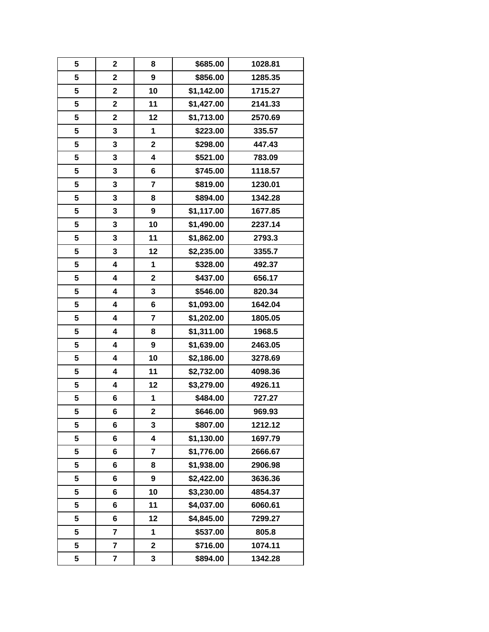| 5 | $\mathbf 2$             | 8                       | \$685.00   | 1028.81 |
|---|-------------------------|-------------------------|------------|---------|
| 5 | $\overline{\mathbf{2}}$ | $\boldsymbol{9}$        | \$856.00   | 1285.35 |
| 5 | $\mathbf 2$             | 10                      | \$1,142.00 | 1715.27 |
| 5 | $\mathbf 2$             | 11                      | \$1,427.00 | 2141.33 |
| 5 | 2                       | 12                      | \$1,713.00 | 2570.69 |
| 5 | 3                       | 1                       | \$223.00   | 335.57  |
| 5 | 3                       | $\overline{\mathbf{2}}$ | \$298.00   | 447.43  |
| 5 | 3                       | $\overline{\mathbf{4}}$ | \$521.00   | 783.09  |
| 5 | 3                       | 6                       | \$745.00   | 1118.57 |
| 5 | 3                       | $\overline{7}$          | \$819.00   | 1230.01 |
| 5 | 3                       | 8                       | \$894.00   | 1342.28 |
| 5 | 3                       | 9                       | \$1,117.00 | 1677.85 |
| 5 | 3                       | 10                      | \$1,490.00 | 2237.14 |
| 5 | 3                       | 11                      | \$1,862.00 | 2793.3  |
| 5 | 3                       | 12                      | \$2,235.00 | 3355.7  |
| 5 | 4                       | 1                       | \$328.00   | 492.37  |
| 5 | 4                       | $\mathbf 2$             | \$437.00   | 656.17  |
| 5 | 4                       | $\mathbf{3}$            | \$546.00   | 820.34  |
| 5 | 4                       | 6                       | \$1,093.00 | 1642.04 |
| 5 | 4                       | $\overline{7}$          | \$1,202.00 | 1805.05 |
| 5 | 4                       | 8                       | \$1,311.00 | 1968.5  |
| 5 | 4                       | 9                       | \$1,639.00 | 2463.05 |
| 5 | 4                       | 10                      | \$2,186.00 | 3278.69 |
| 5 | 4                       | 11                      | \$2,732.00 | 4098.36 |
| 5 | 4                       | 12                      | \$3,279.00 | 4926.11 |
| 5 | 6                       | 1                       | \$484.00   | 727.27  |
| 5 | 6                       | $\overline{\mathbf{2}}$ | \$646.00   | 969.93  |
| 5 | 6                       | 3                       | \$807.00   | 1212.12 |
| 5 | 6                       | 4                       | \$1,130.00 | 1697.79 |
| 5 | 6                       | $\overline{7}$          | \$1,776.00 | 2666.67 |
| 5 | 6                       | 8                       | \$1,938.00 | 2906.98 |
| 5 | 6                       | 9                       | \$2,422.00 | 3636.36 |
| 5 | 6                       | 10                      | \$3,230.00 | 4854.37 |
| 5 | 6                       | 11                      | \$4,037.00 | 6060.61 |
| 5 | 6                       | 12                      | \$4,845.00 | 7299.27 |
| 5 | 7                       | 1                       | \$537.00   | 805.8   |
| 5 | 7                       | $\mathbf 2$             | \$716.00   | 1074.11 |
| 5 | 7                       | 3                       | \$894.00   | 1342.28 |
|   |                         |                         |            |         |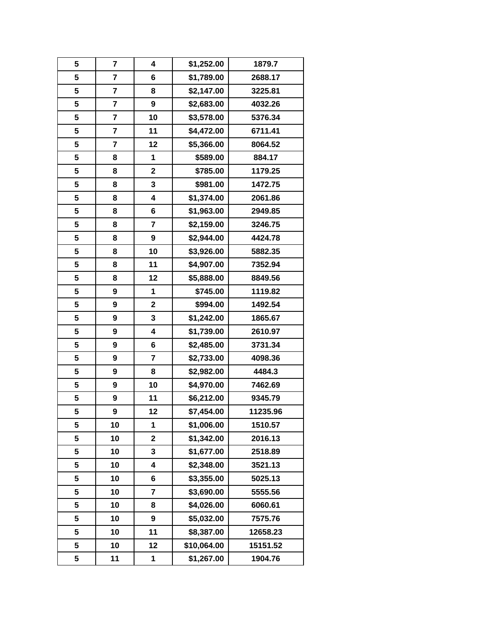| 5 | 7                       | 4                       | \$1,252.00  | 1879.7   |
|---|-------------------------|-------------------------|-------------|----------|
| 5 | $\overline{\mathbf{r}}$ | 6                       | \$1,789.00  | 2688.17  |
| 5 | $\overline{\mathbf{r}}$ | 8                       | \$2,147.00  | 3225.81  |
| 5 | 7                       | $\boldsymbol{9}$        | \$2,683.00  | 4032.26  |
| 5 | 7                       | 10                      | \$3,578.00  | 5376.34  |
| 5 | $\overline{\mathbf{r}}$ | 11                      | \$4,472.00  | 6711.41  |
| 5 | $\overline{\mathbf{r}}$ | 12                      | \$5,366.00  | 8064.52  |
| 5 | 8                       | 1                       | \$589.00    | 884.17   |
| 5 | 8                       | $\mathbf 2$             | \$785.00    | 1179.25  |
| 5 | 8                       | 3                       | \$981.00    | 1472.75  |
| 5 | 8                       | 4                       | \$1,374.00  | 2061.86  |
| 5 | 8                       | 6                       | \$1,963.00  | 2949.85  |
| 5 | 8                       | $\overline{\mathbf{r}}$ | \$2,159.00  | 3246.75  |
| 5 | 8                       | 9                       | \$2,944.00  | 4424.78  |
| 5 | 8                       | 10                      | \$3,926.00  | 5882.35  |
| 5 | 8                       | 11                      | \$4,907.00  | 7352.94  |
| 5 | 8                       | 12                      | \$5,888.00  | 8849.56  |
| 5 | 9                       | 1                       | \$745.00    | 1119.82  |
| 5 | 9                       | $\mathbf 2$             | \$994.00    | 1492.54  |
| 5 | 9                       | 3                       | \$1,242.00  | 1865.67  |
| 5 | 9                       | $\overline{\mathbf{4}}$ | \$1,739.00  | 2610.97  |
| 5 | 9                       | 6                       | \$2,485.00  | 3731.34  |
| 5 | 9                       | $\overline{7}$          | \$2,733.00  | 4098.36  |
| 5 | 9                       | 8                       | \$2,982.00  | 4484.3   |
| 5 | 9                       | 10                      | \$4,970.00  | 7462.69  |
| 5 | 9                       | 11                      | \$6,212.00  | 9345.79  |
| 5 | 9                       | 12                      | \$7,454.00  | 11235.96 |
| 5 | 10                      | 1                       | \$1,006.00  | 1510.57  |
| 5 | 10                      | $\mathbf 2$             | \$1,342.00  | 2016.13  |
| 5 | 10                      | 3                       | \$1,677.00  | 2518.89  |
| 5 | 10                      | 4                       | \$2,348.00  | 3521.13  |
| 5 | 10                      | 6                       | \$3,355.00  | 5025.13  |
| 5 | 10                      | $\overline{\mathbf{r}}$ | \$3,690.00  | 5555.56  |
| 5 | 10                      | 8                       | \$4,026.00  | 6060.61  |
| 5 | 10                      | 9                       | \$5,032.00  | 7575.76  |
| 5 | 10                      | 11                      | \$8,387.00  | 12658.23 |
| 5 | 10                      | 12                      | \$10,064.00 | 15151.52 |
| 5 | 11                      | 1                       | \$1,267.00  | 1904.76  |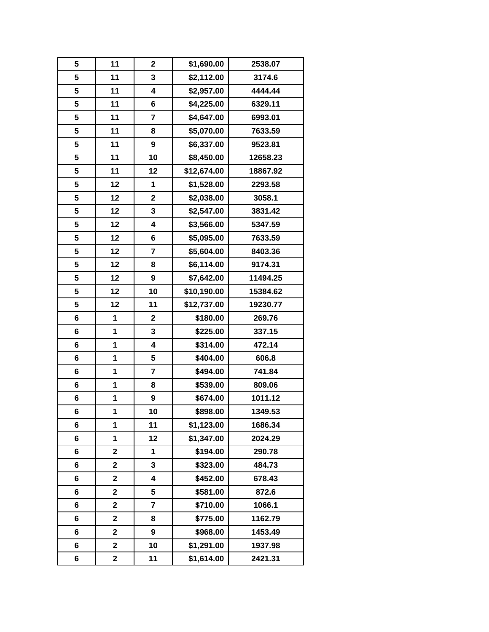| 5 | 11                      | $\mathbf 2$             | \$1,690.00  | 2538.07  |
|---|-------------------------|-------------------------|-------------|----------|
| 5 | 11                      | $\mathbf{3}$            | \$2,112.00  | 3174.6   |
| 5 | 11                      | 4                       | \$2,957.00  | 4444.44  |
| 5 | 11                      | 6                       | \$4,225.00  | 6329.11  |
| 5 | 11                      | $\overline{7}$          | \$4,647.00  | 6993.01  |
| 5 | 11                      | 8                       | \$5,070.00  | 7633.59  |
| 5 | 11                      | $\boldsymbol{9}$        | \$6,337.00  | 9523.81  |
| 5 | 11                      | 10                      | \$8,450.00  | 12658.23 |
| 5 | 11                      | 12                      | \$12,674.00 | 18867.92 |
| 5 | 12                      | 1                       | \$1,528.00  | 2293.58  |
| 5 | 12                      | $\overline{\mathbf{2}}$ | \$2,038.00  | 3058.1   |
| 5 | 12                      | 3                       | \$2,547.00  | 3831.42  |
| 5 | 12                      | $\overline{\mathbf{4}}$ | \$3,566.00  | 5347.59  |
| 5 | 12                      | 6                       | \$5,095.00  | 7633.59  |
| 5 | 12                      | $\overline{\mathbf{r}}$ | \$5,604.00  | 8403.36  |
| 5 | 12                      | 8                       | \$6,114.00  | 9174.31  |
| 5 | 12                      | $\boldsymbol{9}$        | \$7,642.00  | 11494.25 |
| 5 | 12                      | 10                      | \$10,190.00 | 15384.62 |
| 5 | 12                      | 11                      | \$12,737.00 | 19230.77 |
| 6 | 1                       | $\mathbf 2$             | \$180.00    | 269.76   |
| 6 | 1                       | 3                       | \$225.00    | 337.15   |
| 6 | 1                       | 4                       | \$314.00    | 472.14   |
| 6 | 1                       | 5                       | \$404.00    | 606.8    |
| 6 | 1                       | $\overline{\mathbf{r}}$ | \$494.00    | 741.84   |
| 6 | 1                       | 8                       | \$539.00    | 809.06   |
| 6 | 1                       | 9                       | \$674.00    | 1011.12  |
| 6 | 1                       | 10                      | \$898.00    | 1349.53  |
| 6 | 1                       | 11                      | \$1,123.00  | 1686.34  |
| 6 | 1                       | 12                      | \$1,347.00  | 2024.29  |
| 6 | 2                       | 1                       | \$194.00    | 290.78   |
| 6 | $\mathbf 2$             | 3                       | \$323.00    | 484.73   |
| 6 | 2                       | 4                       | \$452.00    | 678.43   |
| 6 | $\mathbf 2$             | 5                       | \$581.00    | 872.6    |
| 6 | 2                       | $\overline{\mathbf{r}}$ | \$710.00    | 1066.1   |
| 6 | $\overline{\mathbf{2}}$ | 8                       | \$775.00    | 1162.79  |
| 6 | $\overline{\mathbf{2}}$ | 9                       | \$968.00    | 1453.49  |
| 6 | $\mathbf 2$             | 10                      | \$1,291.00  | 1937.98  |
| 6 | $\mathbf 2$             | 11                      | \$1,614.00  | 2421.31  |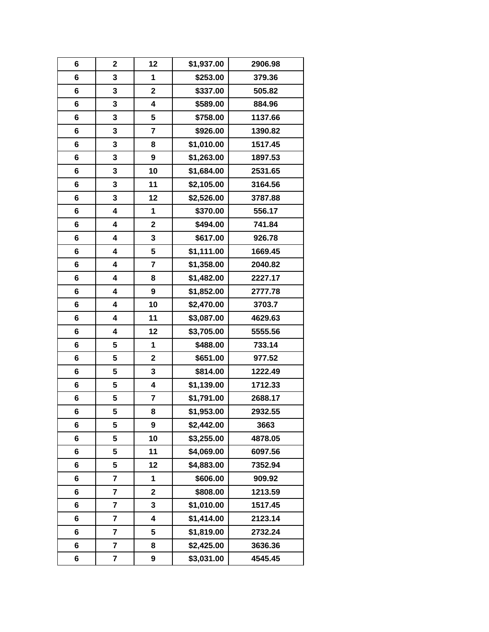| 6 | $\mathbf 2$             | 12                      | \$1,937.00 | 2906.98 |
|---|-------------------------|-------------------------|------------|---------|
| 6 | 3                       | 1                       | \$253.00   | 379.36  |
| 6 | 3                       | $\mathbf 2$             | \$337.00   | 505.82  |
| 6 | 3                       | $\overline{\mathbf{4}}$ | \$589.00   | 884.96  |
| 6 | 3                       | 5                       | \$758.00   | 1137.66 |
| 6 | 3                       | $\overline{7}$          | \$926.00   | 1390.82 |
| 6 | 3                       | 8                       | \$1,010.00 | 1517.45 |
| 6 | 3                       | 9                       | \$1,263.00 | 1897.53 |
| 6 | 3                       | 10                      | \$1,684.00 | 2531.65 |
| 6 | 3                       | 11                      | \$2,105.00 | 3164.56 |
| 6 | 3                       | 12                      | \$2,526.00 | 3787.88 |
| 6 | 4                       | 1                       | \$370.00   | 556.17  |
| 6 | 4                       | $\mathbf 2$             | \$494.00   | 741.84  |
| 6 | 4                       | 3                       | \$617.00   | 926.78  |
| 6 | 4                       | 5                       | \$1,111.00 | 1669.45 |
| 6 | 4                       | $\overline{7}$          | \$1,358.00 | 2040.82 |
| 6 | 4                       | 8                       | \$1,482.00 | 2227.17 |
| 6 | 4                       | $\boldsymbol{9}$        | \$1,852.00 | 2777.78 |
| 6 | 4                       | 10                      | \$2,470.00 | 3703.7  |
| 6 | 4                       | 11                      | \$3,087.00 | 4629.63 |
| 6 | 4                       | 12                      | \$3,705.00 | 5555.56 |
| 6 | 5                       | 1                       | \$488.00   | 733.14  |
| 6 | 5                       | $\mathbf 2$             | \$651.00   | 977.52  |
| 6 | 5                       | 3                       | \$814.00   | 1222.49 |
| 6 | 5                       | $\overline{\mathbf{4}}$ | \$1,139.00 | 1712.33 |
| 6 | 5                       | 7                       | \$1,791.00 | 2688.17 |
| 6 | 5                       | 8                       | \$1,953.00 | 2932.55 |
| 6 | 5                       | $\boldsymbol{9}$        | \$2,442.00 | 3663    |
| 6 | 5                       | 10                      | \$3,255.00 | 4878.05 |
| 6 | 5                       | 11                      | \$4,069.00 | 6097.56 |
| 6 | 5                       | 12                      | \$4,883.00 | 7352.94 |
| 6 | 7                       | 1                       | \$606.00   | 909.92  |
| 6 | 7                       | $\mathbf 2$             | \$808.00   | 1213.59 |
| 6 | 7                       | 3                       | \$1,010.00 | 1517.45 |
| 6 | $\overline{\mathbf{r}}$ | 4                       | \$1,414.00 | 2123.14 |
| 6 | 7                       | 5                       | \$1,819.00 | 2732.24 |
| 6 | 7                       | 8                       | \$2,425.00 | 3636.36 |
| 6 | 7                       | 9                       | \$3,031.00 | 4545.45 |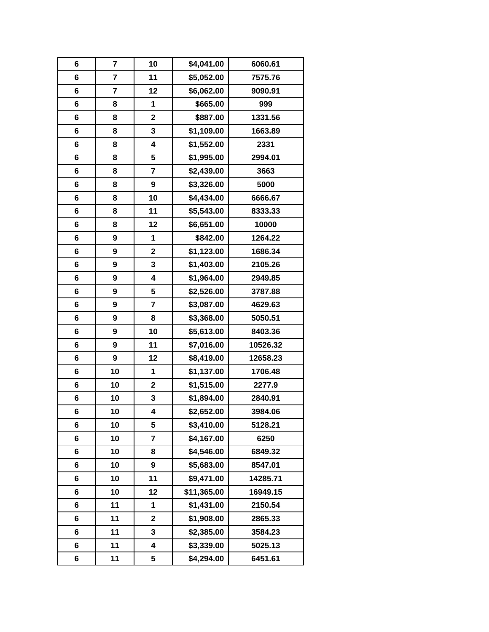| 6 | 7                       | 10               | \$4,041.00  | 6060.61  |
|---|-------------------------|------------------|-------------|----------|
| 6 | $\overline{\mathbf{r}}$ | 11               | \$5,052.00  | 7575.76  |
| 6 | $\overline{\mathbf{r}}$ | 12               | \$6,062.00  | 9090.91  |
| 6 | 8                       | 1                | \$665.00    | 999      |
| 6 | 8                       | $\mathbf 2$      | \$887.00    | 1331.56  |
| 6 | 8                       | 3                | \$1,109.00  | 1663.89  |
| 6 | 8                       | 4                | \$1,552.00  | 2331     |
| 6 | 8                       | 5                | \$1,995.00  | 2994.01  |
| 6 | 8                       | $\overline{7}$   | \$2,439.00  | 3663     |
| 6 | 8                       | $\boldsymbol{9}$ | \$3,326.00  | 5000     |
| 6 | 8                       | 10               | \$4,434.00  | 6666.67  |
| 6 | 8                       | 11               | \$5,543.00  | 8333.33  |
| 6 | 8                       | 12               | \$6,651.00  | 10000    |
| 6 | 9                       | 1                | \$842.00    | 1264.22  |
| 6 | 9                       | $\mathbf 2$      | \$1,123.00  | 1686.34  |
| 6 | 9                       | 3                | \$1,403.00  | 2105.26  |
| 6 | 9                       | 4                | \$1,964.00  | 2949.85  |
| 6 | 9                       | 5                | \$2,526.00  | 3787.88  |
| 6 | 9                       | 7                | \$3,087.00  | 4629.63  |
| 6 | 9                       | 8                | \$3,368.00  | 5050.51  |
| 6 | 9                       | 10               | \$5,613.00  | 8403.36  |
| 6 | 9                       | 11               | \$7,016.00  | 10526.32 |
| 6 | 9                       | 12               | \$8,419.00  | 12658.23 |
| 6 | 10                      | 1                | \$1,137.00  | 1706.48  |
| 6 | 10                      | $\mathbf 2$      | \$1,515.00  | 2277.9   |
| 6 | 10                      | 3                | \$1,894.00  | 2840.91  |
| 6 | 10                      | 4                | \$2,652.00  | 3984.06  |
| 6 | 10                      | 5                | \$3,410.00  | 5128.21  |
| 6 | 10                      | $\overline{7}$   | \$4,167.00  | 6250     |
| 6 | 10                      | 8                | \$4,546.00  | 6849.32  |
| 6 | 10                      | 9                | \$5,683.00  | 8547.01  |
| 6 | 10                      | 11               | \$9,471.00  | 14285.71 |
| 6 | 10                      | 12               | \$11,365.00 | 16949.15 |
| 6 | 11                      | 1                | \$1,431.00  | 2150.54  |
| 6 | 11                      | $\mathbf 2$      | \$1,908.00  | 2865.33  |
| 6 | 11                      | 3                | \$2,385.00  | 3584.23  |
| 6 | 11                      | 4                | \$3,339.00  | 5025.13  |
| 6 | 11                      | 5                | \$4,294.00  | 6451.61  |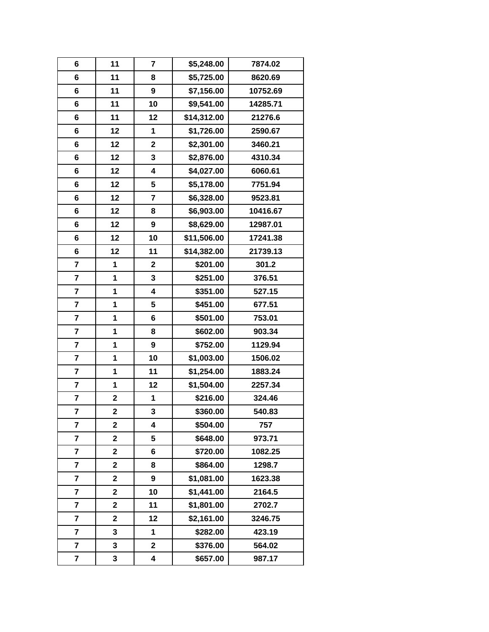| 6                       | 11                      | $\overline{7}$          | \$5,248.00  | 7874.02  |
|-------------------------|-------------------------|-------------------------|-------------|----------|
| 6                       | 11                      | 8                       | \$5,725.00  | 8620.69  |
| 6                       | 11                      | 9                       | \$7,156.00  | 10752.69 |
| 6                       | 11                      | 10                      | \$9,541.00  | 14285.71 |
| 6                       | 11                      | 12                      | \$14,312.00 | 21276.6  |
| 6                       | 12                      | 1                       | \$1,726.00  | 2590.67  |
| 6                       | 12                      | $\mathbf 2$             | \$2,301.00  | 3460.21  |
| 6                       | 12                      | $\mathbf{3}$            | \$2,876.00  | 4310.34  |
| 6                       | 12                      | $\overline{\mathbf{4}}$ | \$4,027.00  | 6060.61  |
| 6                       | 12                      | 5                       | \$5,178.00  | 7751.94  |
| 6                       | 12                      | $\overline{7}$          | \$6,328.00  | 9523.81  |
| 6                       | 12                      | 8                       | \$6,903.00  | 10416.67 |
| 6                       | 12                      | 9                       | \$8,629.00  | 12987.01 |
| 6                       | 12                      | 10                      | \$11,506.00 | 17241.38 |
| 6                       | 12                      | 11                      | \$14,382.00 | 21739.13 |
| $\overline{\mathbf{r}}$ | 1                       | $\mathbf 2$             | \$201.00    | 301.2    |
| $\overline{\mathbf{r}}$ | 1                       | 3                       | \$251.00    | 376.51   |
| $\overline{\mathbf{r}}$ | 1                       | $\overline{\mathbf{4}}$ | \$351.00    | 527.15   |
| 7                       | 1                       | 5                       | \$451.00    | 677.51   |
| 7                       | 1                       | 6                       | \$501.00    | 753.01   |
| $\overline{\mathbf{r}}$ | 1                       | 8                       | \$602.00    | 903.34   |
| $\overline{\mathbf{r}}$ | 1                       | $\boldsymbol{9}$        | \$752.00    | 1129.94  |
| $\overline{\mathbf{r}}$ | 1                       | 10                      | \$1,003.00  | 1506.02  |
| $\overline{\mathbf{r}}$ | 1                       | 11                      | \$1,254.00  | 1883.24  |
| 7                       | 1                       | 12                      | \$1,504.00  | 2257.34  |
| $\overline{7}$          | $\mathbf 2$             | 1                       | \$216.00    | 324.46   |
| 7                       | $\overline{\mathbf{2}}$ | 3                       | \$360.00    | 540.83   |
| $\overline{\mathbf{r}}$ | $\mathbf 2$             | 4                       | \$504.00    | 757      |
| 7                       | 2                       | 5                       | \$648.00    | 973.71   |
| $\overline{\mathbf{r}}$ | $\mathbf 2$             | 6                       | \$720.00    | 1082.25  |
| $\overline{\mathbf{r}}$ | $\overline{\mathbf{2}}$ | 8                       | \$864.00    | 1298.7   |
| 7                       | 2                       | 9                       | \$1,081.00  | 1623.38  |
| $\overline{\mathbf{r}}$ | $\mathbf 2$             | 10                      | \$1,441.00  | 2164.5   |
| $\overline{\mathbf{r}}$ | 2                       | 11                      | \$1,801.00  | 2702.7   |
| 7                       | $\overline{\mathbf{2}}$ | 12                      | \$2,161.00  | 3246.75  |
| $\overline{\mathbf{r}}$ | 3                       | 1                       | \$282.00    | 423.19   |
| 7                       | 3                       | $\mathbf 2$             | \$376.00    | 564.02   |
| 7                       | 3                       | 4                       | \$657.00    | 987.17   |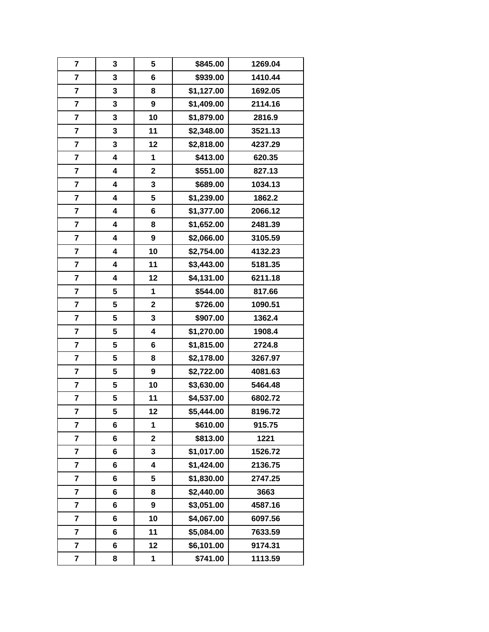| $\overline{7}$          | 3 | 5                       | \$845.00   | 1269.04 |
|-------------------------|---|-------------------------|------------|---------|
| $\overline{7}$          | 3 | 6                       | \$939.00   | 1410.44 |
| $\overline{\mathbf{r}}$ | 3 | 8                       | \$1,127.00 | 1692.05 |
| $\overline{\mathbf{r}}$ | 3 | $\boldsymbol{9}$        | \$1,409.00 | 2114.16 |
| $\overline{\mathbf{r}}$ | 3 | 10                      | \$1,879.00 | 2816.9  |
| $\overline{\mathbf{r}}$ | 3 | 11                      | \$2,348.00 | 3521.13 |
| $\overline{\mathbf{r}}$ | 3 | 12                      | \$2,818.00 | 4237.29 |
| 7                       | 4 | 1                       | \$413.00   | 620.35  |
| $\overline{\mathbf{r}}$ | 4 | $\mathbf 2$             | \$551.00   | 827.13  |
| $\overline{\mathbf{r}}$ | 4 | $\mathbf{3}$            | \$689.00   | 1034.13 |
| $\overline{\mathbf{r}}$ | 4 | 5                       | \$1,239.00 | 1862.2  |
| $\overline{\mathbf{r}}$ | 4 | 6                       | \$1,377.00 | 2066.12 |
| 7                       | 4 | 8                       | \$1,652.00 | 2481.39 |
| $\overline{\mathbf{r}}$ | 4 | $\boldsymbol{9}$        | \$2,066.00 | 3105.59 |
| $\overline{\mathbf{r}}$ | 4 | 10                      | \$2,754.00 | 4132.23 |
| $\overline{\mathbf{r}}$ | 4 | 11                      | \$3,443.00 | 5181.35 |
| $\overline{\mathbf{r}}$ | 4 | 12                      | \$4,131.00 | 6211.18 |
| $\overline{\mathbf{r}}$ | 5 | 1                       | \$544.00   | 817.66  |
| 7                       | 5 | $\mathbf 2$             | \$726.00   | 1090.51 |
| 7                       | 5 | 3                       | \$907.00   | 1362.4  |
| $\overline{\mathbf{r}}$ | 5 | $\overline{\mathbf{4}}$ | \$1,270.00 | 1908.4  |
| $\overline{\mathbf{r}}$ | 5 | 6                       | \$1,815.00 | 2724.8  |
| $\overline{\mathbf{r}}$ | 5 | 8                       | \$2,178.00 | 3267.97 |
| $\overline{\mathbf{r}}$ | 5 | $\boldsymbol{9}$        | \$2,722.00 | 4081.63 |
| 7                       | 5 | 10                      | \$3,630.00 | 5464.48 |
| 7                       | 5 | 11                      | \$4,537.00 | 6802.72 |
| 7                       | 5 | 12                      | \$5,444.00 | 8196.72 |
| $\overline{\mathbf{r}}$ | 6 | 1                       | \$610.00   | 915.75  |
| 7                       | 6 | $\mathbf 2$             | \$813.00   | 1221    |
| $\overline{7}$          | 6 | 3                       | \$1,017.00 | 1526.72 |
| 7                       | 6 | 4                       | \$1,424.00 | 2136.75 |
| 7                       | 6 | 5                       | \$1,830.00 | 2747.25 |
| 7                       | 6 | 8                       | \$2,440.00 | 3663    |
| $\overline{\mathbf{r}}$ | 6 | 9                       | \$3,051.00 | 4587.16 |
| $\overline{7}$          | 6 | 10                      | \$4,067.00 | 6097.56 |
| $\overline{\mathbf{r}}$ | 6 | 11                      | \$5,084.00 | 7633.59 |
| 7                       | 6 | 12                      | \$6,101.00 | 9174.31 |
| 7                       | 8 | 1                       | \$741.00   | 1113.59 |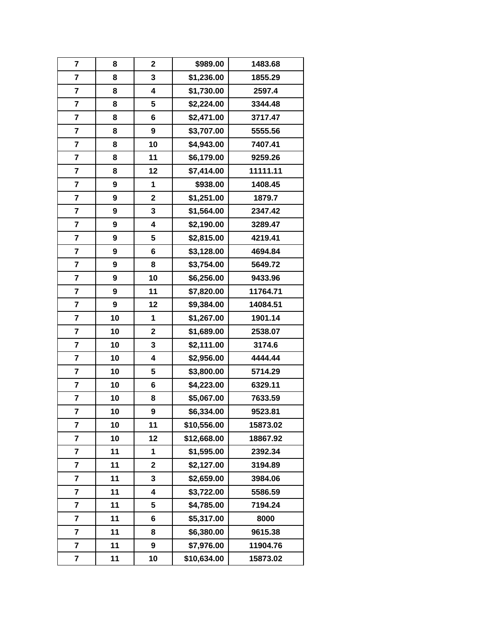| $\overline{\mathbf{r}}$ | 8  | $\overline{\mathbf{2}}$ | \$989.00    | 1483.68  |
|-------------------------|----|-------------------------|-------------|----------|
| $\overline{7}$          | 8  | 3                       | \$1,236.00  | 1855.29  |
| $\overline{\mathbf{r}}$ | 8  | $\overline{\mathbf{4}}$ | \$1,730.00  | 2597.4   |
| 7                       | 8  | 5                       | \$2,224.00  | 3344.48  |
| $\overline{\mathbf{r}}$ | 8  | 6                       | \$2,471.00  | 3717.47  |
| $\overline{\mathbf{r}}$ | 8  | $\boldsymbol{9}$        | \$3,707.00  | 5555.56  |
| $\overline{\mathbf{r}}$ | 8  | 10                      | \$4,943.00  | 7407.41  |
| 7                       | 8  | 11                      | \$6,179.00  | 9259.26  |
| $\overline{\mathbf{r}}$ | 8  | 12                      | \$7,414.00  | 11111.11 |
| $\overline{\mathbf{r}}$ | 9  | 1                       | \$938.00    | 1408.45  |
| $\overline{\mathbf{r}}$ | 9  | $\overline{\mathbf{2}}$ | \$1,251.00  | 1879.7   |
| $\overline{\mathbf{r}}$ | 9  | 3                       | \$1,564.00  | 2347.42  |
| 7                       | 9  | $\overline{\mathbf{4}}$ | \$2,190.00  | 3289.47  |
| $\overline{\mathbf{r}}$ | 9  | 5                       | \$2,815.00  | 4219.41  |
| $\overline{\mathbf{r}}$ | 9  | 6                       | \$3,128.00  | 4694.84  |
| $\overline{\mathbf{r}}$ | 9  | 8                       | \$3,754.00  | 5649.72  |
| $\overline{\mathbf{r}}$ | 9  | 10                      | \$6,256.00  | 9433.96  |
| 7                       | 9  | 11                      | \$7,820.00  | 11764.71 |
| 7                       | 9  | 12                      | \$9,384.00  | 14084.51 |
| 7                       | 10 | 1                       | \$1,267.00  | 1901.14  |
| $\overline{\mathbf{r}}$ | 10 | $\mathbf 2$             | \$1,689.00  | 2538.07  |
| $\overline{\mathbf{r}}$ | 10 | 3                       | \$2,111.00  | 3174.6   |
| 7                       | 10 | $\overline{\mathbf{4}}$ | \$2,956.00  | 4444.44  |
| $\overline{\mathbf{r}}$ | 10 | 5                       | \$3,800.00  | 5714.29  |
| 7                       | 10 | 6                       | \$4,223.00  | 6329.11  |
| $\overline{7}$          | 10 | 8                       | \$5,067.00  | 7633.59  |
| 7                       | 10 | 9                       | \$6,334.00  | 9523.81  |
| $\overline{\mathbf{r}}$ | 10 | 11                      | \$10,556.00 | 15873.02 |
| 7                       | 10 | 12                      | \$12,668.00 | 18867.92 |
| $\overline{7}$          | 11 | 1                       | \$1,595.00  | 2392.34  |
| 7                       | 11 | $\overline{\mathbf{2}}$ | \$2,127.00  | 3194.89  |
| 7                       | 11 | 3                       | \$2,659.00  | 3984.06  |
| $\overline{\mathbf{r}}$ | 11 | 4                       | \$3,722.00  | 5586.59  |
| $\overline{\mathbf{r}}$ | 11 | 5                       | \$4,785.00  | 7194.24  |
| $\overline{7}$          | 11 | 6                       | \$5,317.00  | 8000     |
| $\overline{\mathbf{r}}$ | 11 | 8                       | \$6,380.00  | 9615.38  |
| 7                       | 11 | 9                       | \$7,976.00  | 11904.76 |
| 7                       | 11 | 10                      | \$10,634.00 | 15873.02 |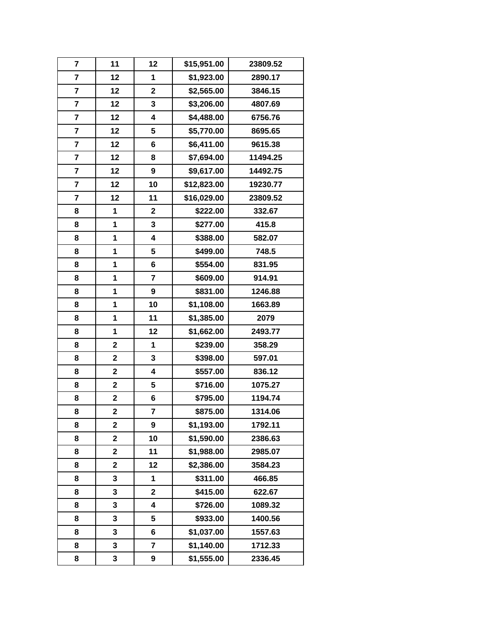| $\overline{\mathbf{r}}$ | 11                      | 12                      | \$15,951.00 | 23809.52 |
|-------------------------|-------------------------|-------------------------|-------------|----------|
| 7                       | 12                      | 1                       | \$1,923.00  | 2890.17  |
| $\overline{\mathbf{r}}$ | 12                      | $\overline{\mathbf{2}}$ | \$2,565.00  | 3846.15  |
| $\overline{\mathbf{r}}$ | 12                      | 3                       | \$3,206.00  | 4807.69  |
| 7                       | 12                      | 4                       | \$4,488.00  | 6756.76  |
| $\overline{\mathbf{r}}$ | 12                      | 5                       | \$5,770.00  | 8695.65  |
| 7                       | 12                      | 6                       | \$6,411.00  | 9615.38  |
| 7                       | 12                      | 8                       | \$7,694.00  | 11494.25 |
| $\overline{\mathbf{r}}$ | 12                      | $\boldsymbol{9}$        | \$9,617.00  | 14492.75 |
| 7                       | 12                      | 10                      | \$12,823.00 | 19230.77 |
| $\overline{\mathbf{r}}$ | 12                      | 11                      | \$16,029.00 | 23809.52 |
| 8                       | 1                       | $\mathbf 2$             | \$222.00    | 332.67   |
| 8                       | 1                       | 3                       | \$277.00    | 415.8    |
| 8                       | 1                       | 4                       | \$388.00    | 582.07   |
| 8                       | 1                       | 5                       | \$499.00    | 748.5    |
| 8                       | 1                       | 6                       | \$554.00    | 831.95   |
| 8                       | 1                       | $\overline{\mathbf{r}}$ | \$609.00    | 914.91   |
| 8                       | 1                       | 9                       | \$831.00    | 1246.88  |
| 8                       | 1                       | 10                      | \$1,108.00  | 1663.89  |
| 8                       | 1                       | 11                      | \$1,385.00  | 2079     |
| 8                       | 1                       | 12                      | \$1,662.00  | 2493.77  |
| 8                       | $\overline{\mathbf{2}}$ | 1                       | \$239.00    | 358.29   |
| 8                       | $\mathbf 2$             | 3                       | \$398.00    | 597.01   |
| 8                       | $\overline{\mathbf{2}}$ | 4                       | \$557.00    | 836.12   |
| 8                       | $\mathbf 2$             | 5                       | \$716.00    | 1075.27  |
| 8                       | $\mathbf 2$             | 6                       | \$795.00    | 1194.74  |
| 8                       | $\overline{\mathbf{2}}$ | 7                       | \$875.00    | 1314.06  |
| 8                       | $\mathbf 2$             | 9                       | \$1,193.00  | 1792.11  |
| 8                       | 2                       | 10                      | \$1,590.00  | 2386.63  |
| 8                       | $\mathbf 2$             | 11                      | \$1,988.00  | 2985.07  |
| 8                       | $\overline{\mathbf{2}}$ | 12                      | \$2,386.00  | 3584.23  |
| 8                       | 3                       | 1                       | \$311.00    | 466.85   |
| 8                       | 3                       | $\mathbf 2$             | \$415.00    | 622.67   |
| 8                       | 3                       | 4                       | \$726.00    | 1089.32  |
| 8                       | 3                       | 5                       | \$933.00    | 1400.56  |
| 8                       | 3                       | 6                       | \$1,037.00  | 1557.63  |
| 8                       | 3                       | 7                       | \$1,140.00  | 1712.33  |
| 8                       | 3                       | 9                       | \$1,555.00  | 2336.45  |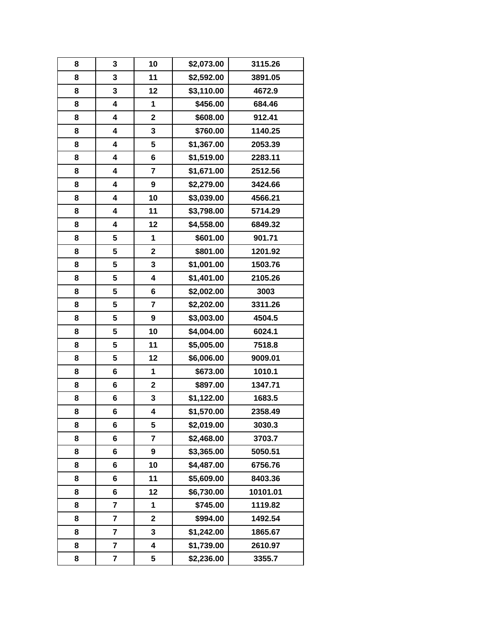| 8 | 3                       | 10                      | \$2,073.00 | 3115.26  |
|---|-------------------------|-------------------------|------------|----------|
| 8 | 3                       | 11                      | \$2,592.00 | 3891.05  |
| 8 | 3                       | 12                      | \$3,110.00 | 4672.9   |
| 8 | 4                       | 1                       | \$456.00   | 684.46   |
| 8 | 4                       | $\mathbf 2$             | \$608.00   | 912.41   |
| 8 | 4                       | 3                       | \$760.00   | 1140.25  |
| 8 | 4                       | 5                       | \$1,367.00 | 2053.39  |
| 8 | 4                       | 6                       | \$1,519.00 | 2283.11  |
| 8 | 4                       | $\overline{7}$          | \$1,671.00 | 2512.56  |
| 8 | 4                       | $\boldsymbol{9}$        | \$2,279.00 | 3424.66  |
| 8 | 4                       | 10                      | \$3,039.00 | 4566.21  |
| 8 | 4                       | 11                      | \$3,798.00 | 5714.29  |
| 8 | 4                       | 12                      | \$4,558.00 | 6849.32  |
| 8 | 5                       | 1                       | \$601.00   | 901.71   |
| 8 | 5                       | $\mathbf 2$             | \$801.00   | 1201.92  |
| 8 | 5                       | 3                       | \$1,001.00 | 1503.76  |
| 8 | 5                       | 4                       | \$1,401.00 | 2105.26  |
| 8 | 5                       | 6                       | \$2,002.00 | 3003     |
| 8 | 5                       | 7                       | \$2,202.00 | 3311.26  |
| 8 | 5                       | $\boldsymbol{9}$        | \$3,003.00 | 4504.5   |
| 8 | 5                       | 10                      | \$4,004.00 | 6024.1   |
| 8 | 5                       | 11                      | \$5,005.00 | 7518.8   |
| 8 | 5                       | 12                      | \$6,006.00 | 9009.01  |
| 8 | 6                       | 1                       | \$673.00   | 1010.1   |
| 8 | 6                       | $\mathbf 2$             | \$897.00   | 1347.71  |
| 8 | 6                       | 3                       | \$1,122.00 | 1683.5   |
| 8 | 6                       | 4                       | \$1,570.00 | 2358.49  |
| 8 | 6                       | 5                       | \$2,019.00 | 3030.3   |
| 8 | 6                       | $\overline{\mathbf{r}}$ | \$2,468.00 | 3703.7   |
| 8 | 6                       | 9                       | \$3,365.00 | 5050.51  |
| 8 | 6                       | 10                      | \$4,487.00 | 6756.76  |
| 8 | 6                       | 11                      | \$5,609.00 | 8403.36  |
| 8 | 6                       | 12                      | \$6,730.00 | 10101.01 |
| 8 | 7                       | 1                       | \$745.00   | 1119.82  |
| 8 | $\overline{\mathbf{r}}$ | $\overline{\mathbf{2}}$ | \$994.00   | 1492.54  |
| 8 | 7                       | 3                       | \$1,242.00 | 1865.67  |
| 8 | 7                       | 4                       | \$1,739.00 | 2610.97  |
| 8 | 7                       | 5                       | \$2,236.00 | 3355.7   |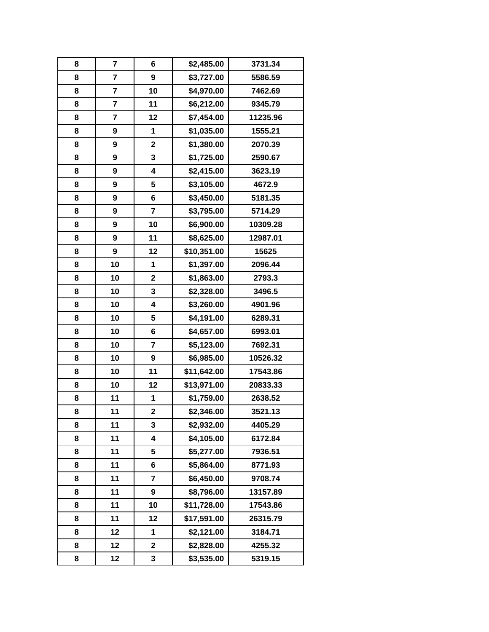| 8 | 7                       | 6                       | \$2,485.00  | 3731.34  |
|---|-------------------------|-------------------------|-------------|----------|
| 8 | $\overline{\mathbf{r}}$ | 9                       | \$3,727.00  | 5586.59  |
| 8 | $\overline{\mathbf{r}}$ | 10                      | \$4,970.00  | 7462.69  |
| 8 | 7                       | 11                      | \$6,212.00  | 9345.79  |
| 8 | 7                       | 12                      | \$7,454.00  | 11235.96 |
| 8 | 9                       | 1                       | \$1,035.00  | 1555.21  |
| 8 | 9                       | $\mathbf 2$             | \$1,380.00  | 2070.39  |
| 8 | 9                       | 3                       | \$1,725.00  | 2590.67  |
| 8 | 9                       | $\overline{\mathbf{4}}$ | \$2,415.00  | 3623.19  |
| 8 | 9                       | 5                       | \$3,105.00  | 4672.9   |
| 8 | 9                       | $6\phantom{1}6$         | \$3,450.00  | 5181.35  |
| 8 | 9                       | $\overline{\mathbf{r}}$ | \$3,795.00  | 5714.29  |
| 8 | 9                       | 10                      | \$6,900.00  | 10309.28 |
| 8 | 9                       | 11                      | \$8,625.00  | 12987.01 |
| 8 | 9                       | 12                      | \$10,351.00 | 15625    |
| 8 | 10                      | 1                       | \$1,397.00  | 2096.44  |
| 8 | 10                      | $\mathbf 2$             | \$1,863.00  | 2793.3   |
| 8 | 10                      | 3                       | \$2,328.00  | 3496.5   |
| 8 | 10                      | 4                       | \$3,260.00  | 4901.96  |
| 8 | 10                      | 5                       | \$4,191.00  | 6289.31  |
| 8 | 10                      | 6                       | \$4,657.00  | 6993.01  |
| 8 | 10                      | $\overline{\mathbf{r}}$ | \$5,123.00  | 7692.31  |
| 8 | 10                      | 9                       | \$6,985.00  | 10526.32 |
| 8 | 10                      | 11                      | \$11,642.00 | 17543.86 |
| 8 | 10                      | 12                      | \$13,971.00 | 20833.33 |
| 8 | 11                      | 1                       | \$1,759.00  | 2638.52  |
| 8 | 11                      | $\overline{\mathbf{2}}$ | \$2,346.00  | 3521.13  |
| 8 | 11                      | 3                       | \$2,932.00  | 4405.29  |
| 8 | 11                      | 4                       | \$4,105.00  | 6172.84  |
| 8 | 11                      | 5                       | \$5,277.00  | 7936.51  |
| 8 | 11                      | 6                       | \$5,864.00  | 8771.93  |
| 8 | 11                      | 7                       | \$6,450.00  | 9708.74  |
| 8 | 11                      | 9                       | \$8,796.00  | 13157.89 |
| 8 | 11                      | 10                      | \$11,728.00 | 17543.86 |
| 8 | 11                      | 12                      | \$17,591.00 | 26315.79 |
| 8 | 12                      | 1                       | \$2,121.00  | 3184.71  |
| 8 | 12                      | $\mathbf 2$             | \$2,828.00  | 4255.32  |
| 8 | 12                      | 3                       | \$3,535.00  | 5319.15  |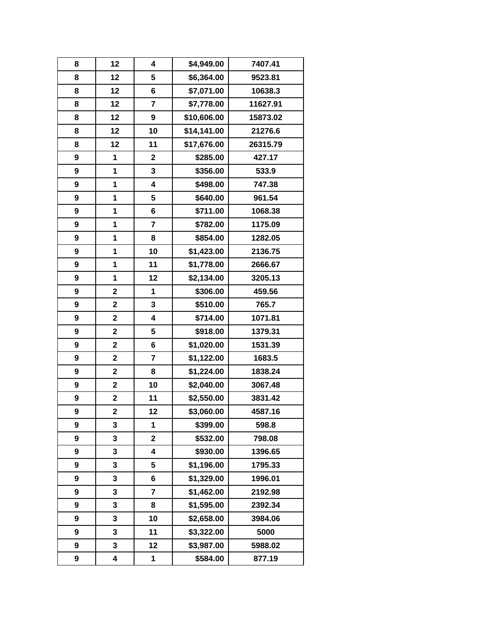| 8 | 12                      | 4                       | \$4,949.00  | 7407.41  |
|---|-------------------------|-------------------------|-------------|----------|
| 8 | 12                      | 5                       | \$6,364.00  | 9523.81  |
| 8 | 12                      | 6                       | \$7,071.00  | 10638.3  |
| 8 | 12                      | $\overline{7}$          | \$7,778.00  | 11627.91 |
| 8 | 12                      | 9                       | \$10,606.00 | 15873.02 |
| 8 | 12                      | 10                      | \$14,141.00 | 21276.6  |
| 8 | 12                      | 11                      | \$17,676.00 | 26315.79 |
| 9 | 1                       | $\mathbf 2$             | \$285.00    | 427.17   |
| 9 | 1                       | 3                       | \$356.00    | 533.9    |
| 9 | 1                       | 4                       | \$498.00    | 747.38   |
| 9 | 1                       | 5                       | \$640.00    | 961.54   |
| 9 | 1                       | 6                       | \$711.00    | 1068.38  |
| 9 | 1                       | 7                       | \$782.00    | 1175.09  |
| 9 | 1                       | 8                       | \$854.00    | 1282.05  |
| 9 | 1                       | 10                      | \$1,423.00  | 2136.75  |
| 9 | 1                       | 11                      | \$1,778.00  | 2666.67  |
| 9 | 1                       | 12                      | \$2,134.00  | 3205.13  |
| 9 | $\mathbf 2$             | 1                       | \$306.00    | 459.56   |
| 9 | $\mathbf 2$             | 3                       | \$510.00    | 765.7    |
| 9 | $\mathbf 2$             | 4                       | \$714.00    | 1071.81  |
| 9 | $\overline{\mathbf{2}}$ | 5                       | \$918.00    | 1379.31  |
| 9 | $\overline{\mathbf{2}}$ | 6                       | \$1,020.00  | 1531.39  |
| 9 | $\mathbf 2$             | $\overline{\mathbf{r}}$ | \$1,122.00  | 1683.5   |
| 9 | $\overline{\mathbf{2}}$ | 8                       | \$1,224.00  | 1838.24  |
| 9 | $\mathbf 2$             | 10                      | \$2,040.00  | 3067.48  |
| 9 | $\mathbf 2$             | 11                      | \$2,550.00  | 3831.42  |
| 9 | $\overline{\mathbf{2}}$ | 12                      | \$3,060.00  | 4587.16  |
| 9 | 3                       | 1                       | \$399.00    | 598.8    |
| 9 | 3                       | 2                       | \$532.00    | 798.08   |
| 9 | 3                       | 4                       | \$930.00    | 1396.65  |
| 9 | 3                       | 5                       | \$1,196.00  | 1795.33  |
| 9 | 3                       | 6                       | \$1,329.00  | 1996.01  |
| 9 | 3                       | $\overline{\mathbf{r}}$ | \$1,462.00  | 2192.98  |
| 9 | 3                       | 8                       | \$1,595.00  | 2392.34  |
| 9 | 3                       | 10                      | \$2,658.00  | 3984.06  |
| 9 | 3                       | 11                      | \$3,322.00  | 5000     |
| 9 | 3                       | 12                      | \$3,987.00  | 5988.02  |
| 9 | 4                       | 1                       | \$584.00    | 877.19   |
|   |                         |                         |             |          |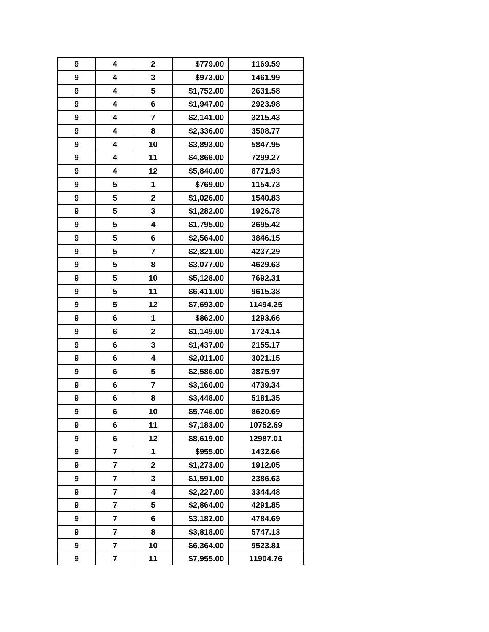| 9 | 4                       | $\mathbf{2}$            | \$779.00   | 1169.59  |
|---|-------------------------|-------------------------|------------|----------|
| 9 | 4                       | 3                       | \$973.00   | 1461.99  |
| 9 | 4                       | 5                       | \$1,752.00 | 2631.58  |
| 9 | 4                       | 6                       | \$1,947.00 | 2923.98  |
| 9 | 4                       | $\overline{\mathbf{r}}$ | \$2,141.00 | 3215.43  |
| 9 | 4                       | 8                       | \$2,336.00 | 3508.77  |
| 9 | 4                       | 10                      | \$3,893.00 | 5847.95  |
| 9 | 4                       | 11                      | \$4,866.00 | 7299.27  |
| 9 | 4                       | 12                      | \$5,840.00 | 8771.93  |
| 9 | 5                       | 1                       | \$769.00   | 1154.73  |
| 9 | 5                       | $\overline{\mathbf{2}}$ | \$1,026.00 | 1540.83  |
| 9 | 5                       | 3                       | \$1,282.00 | 1926.78  |
| 9 | 5                       | $\overline{\mathbf{4}}$ | \$1,795.00 | 2695.42  |
| 9 | 5                       | 6                       | \$2,564.00 | 3846.15  |
| 9 | 5                       | $\overline{7}$          | \$2,821.00 | 4237.29  |
| 9 | 5                       | 8                       | \$3,077.00 | 4629.63  |
| 9 | 5                       | 10                      | \$5,128.00 | 7692.31  |
| 9 | 5                       | 11                      | \$6,411.00 | 9615.38  |
| 9 | 5                       | 12                      | \$7,693.00 | 11494.25 |
| 9 | 6                       | 1                       | \$862.00   | 1293.66  |
| 9 | 6                       | $\mathbf 2$             | \$1,149.00 | 1724.14  |
| 9 | 6                       | 3                       | \$1,437.00 | 2155.17  |
| 9 | 6                       | $\overline{\mathbf{4}}$ | \$2,011.00 | 3021.15  |
| 9 | 6                       | 5                       | \$2,586.00 | 3875.97  |
| 9 | 6                       | $\overline{\mathbf{r}}$ | \$3,160.00 | 4739.34  |
| 9 | 6                       | 8                       | \$3,448.00 | 5181.35  |
| 9 | 6                       | 10                      | \$5,746.00 | 8620.69  |
| 9 | 6                       | 11                      | \$7,183.00 | 10752.69 |
| 9 | 6                       | 12                      | \$8,619.00 | 12987.01 |
| 9 | 7                       | 1                       | \$955.00   | 1432.66  |
| 9 | 7                       | $\mathbf 2$             | \$1,273.00 | 1912.05  |
| 9 | 7                       | 3                       | \$1,591.00 | 2386.63  |
| 9 | 7                       | 4                       | \$2,227.00 | 3344.48  |
| 9 | 7                       | 5                       | \$2,864.00 | 4291.85  |
| 9 | $\overline{\mathbf{r}}$ | 6                       | \$3,182.00 | 4784.69  |
| 9 | 7                       | 8                       | \$3,818.00 | 5747.13  |
| 9 | 7                       | 10                      | \$6,364.00 | 9523.81  |
| 9 | 7                       | 11                      | \$7,955.00 | 11904.76 |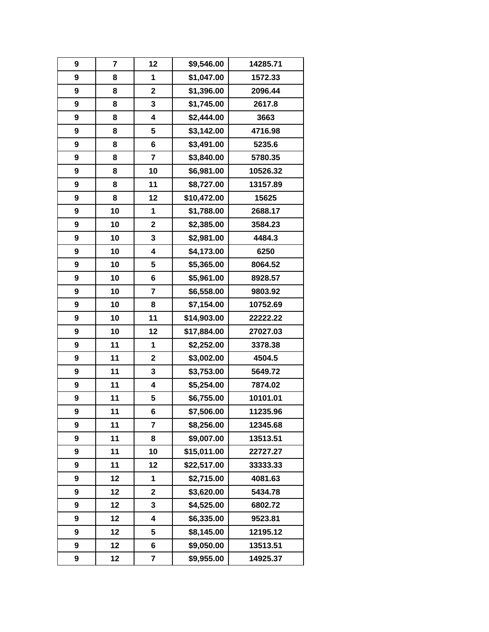| 9                | 7  | 12                      | \$9,546.00  | 14285.71 |
|------------------|----|-------------------------|-------------|----------|
| 9                | 8  | 1                       | \$1,047.00  | 1572.33  |
| 9                | 8  | $\mathbf 2$             | \$1,396.00  | 2096.44  |
| 9                | 8  | 3                       | \$1,745.00  | 2617.8   |
| 9                | 8  | 4                       | \$2,444.00  | 3663     |
| $\boldsymbol{9}$ | 8  | 5                       | \$3,142.00  | 4716.98  |
| 9                | 8  | 6                       | \$3,491.00  | 5235.6   |
| 9                | 8  | $\overline{\mathbf{r}}$ | \$3,840.00  | 5780.35  |
| 9                | 8  | 10                      | \$6,981.00  | 10526.32 |
| $\boldsymbol{9}$ | 8  | 11                      | \$8,727.00  | 13157.89 |
| 9                | 8  | 12                      | \$10,472.00 | 15625    |
| 9                | 10 | 1                       | \$1,788.00  | 2688.17  |
| 9                | 10 | $\mathbf 2$             | \$2,385.00  | 3584.23  |
| 9                | 10 | 3                       | \$2,981.00  | 4484.3   |
| $\boldsymbol{9}$ | 10 | $\overline{\mathbf{4}}$ | \$4,173.00  | 6250     |
| $\boldsymbol{9}$ | 10 | 5                       | \$5,365.00  | 8064.52  |
| 9                | 10 | 6                       | \$5,961.00  | 8928.57  |
| 9                | 10 | $\overline{\mathbf{r}}$ | \$6,558.00  | 9803.92  |
| 9                | 10 | 8                       | \$7,154.00  | 10752.69 |
| 9                | 10 | 11                      | \$14,903.00 | 22222.22 |
| 9                | 10 | 12                      | \$17,884.00 | 27027.03 |
| 9                | 11 | 1                       | \$2,252.00  | 3378.38  |
| 9                | 11 | $\mathbf 2$             | \$3,002.00  | 4504.5   |
| 9                | 11 | 3                       | \$3,753.00  | 5649.72  |
| 9                | 11 | 4                       | \$5,254.00  | 7874.02  |
| 9                | 11 | 5                       | \$6,755.00  | 10101.01 |
| 9                | 11 | 6                       | \$7,506.00  | 11235.96 |
| 9                | 11 | $\overline{7}$          | \$8,256.00  | 12345.68 |
| 9                | 11 | 8                       | \$9,007.00  | 13513.51 |
| 9                | 11 | 10                      | \$15,011.00 | 22727.27 |
| 9                | 11 | 12                      | \$22,517.00 | 33333.33 |
| 9                | 12 | 1                       | \$2,715.00  | 4081.63  |
| 9                | 12 | $\mathbf 2$             | \$3,620.00  | 5434.78  |
| 9                | 12 | 3                       | \$4,525.00  | 6802.72  |
| 9                | 12 | $\overline{\mathbf{4}}$ | \$6,335.00  | 9523.81  |
| 9                | 12 | 5                       | \$8,145.00  | 12195.12 |
| 9                | 12 | 6                       | \$9,050.00  | 13513.51 |
| 9                | 12 | 7                       | \$9,955.00  | 14925.37 |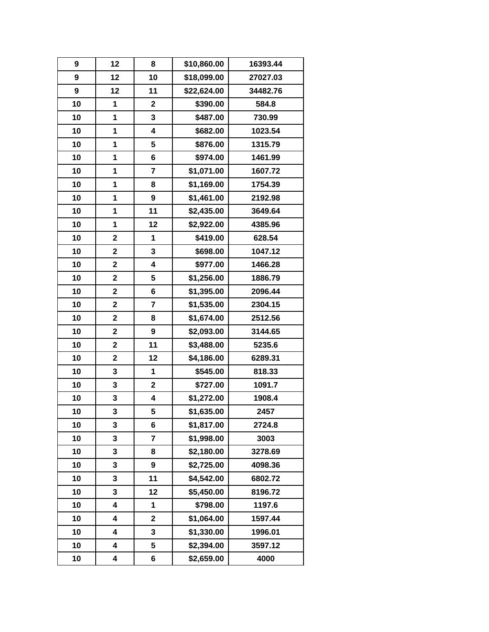| 9  | 12                      | 8                       | \$10,860.00 | 16393.44 |
|----|-------------------------|-------------------------|-------------|----------|
| 9  | 12                      | 10                      | \$18,099.00 | 27027.03 |
| 9  | 12                      | 11                      | \$22,624.00 | 34482.76 |
| 10 | 1                       | $\mathbf 2$             | \$390.00    | 584.8    |
| 10 | 1                       | 3                       | \$487.00    | 730.99   |
| 10 | 1                       | $\overline{\mathbf{4}}$ | \$682.00    | 1023.54  |
| 10 | 1                       | 5                       | \$876.00    | 1315.79  |
| 10 | 1                       | 6                       | \$974.00    | 1461.99  |
| 10 | 1                       | $\overline{7}$          | \$1,071.00  | 1607.72  |
| 10 | 1                       | 8                       | \$1,169.00  | 1754.39  |
| 10 | 1                       | $\boldsymbol{9}$        | \$1,461.00  | 2192.98  |
| 10 | 1                       | 11                      | \$2,435.00  | 3649.64  |
| 10 | 1                       | 12                      | \$2,922.00  | 4385.96  |
| 10 | $\mathbf 2$             | 1                       | \$419.00    | 628.54   |
| 10 | $\mathbf 2$             | $\mathbf 3$             | \$698.00    | 1047.12  |
| 10 | $\overline{\mathbf{2}}$ | 4                       | \$977.00    | 1466.28  |
| 10 | $\overline{\mathbf{2}}$ | 5                       | \$1,256.00  | 1886.79  |
| 10 | $\mathbf 2$             | 6                       | \$1,395.00  | 2096.44  |
| 10 | $\overline{\mathbf{2}}$ | $\overline{\mathbf{7}}$ | \$1,535.00  | 2304.15  |
| 10 | $\mathbf 2$             | 8                       | \$1,674.00  | 2512.56  |
| 10 | $\overline{\mathbf{2}}$ | $\boldsymbol{9}$        | \$2,093.00  | 3144.65  |
| 10 | $\overline{\mathbf{2}}$ | 11                      | \$3,488.00  | 5235.6   |
| 10 | $\mathbf 2$             | 12                      | \$4,186.00  | 6289.31  |
| 10 | 3                       | 1                       | \$545.00    | 818.33   |
| 10 | 3                       | $\mathbf 2$             | \$727.00    | 1091.7   |
| 10 | 3                       | 4                       | \$1,272.00  | 1908.4   |
| 10 | 3                       | 5                       | \$1,635.00  | 2457     |
| 10 | 3                       | 6                       | \$1,817.00  | 2724.8   |
| 10 | 3                       | 7                       | \$1,998.00  | 3003     |
| 10 | 3                       | 8                       | \$2,180.00  | 3278.69  |
| 10 | 3                       | 9                       | \$2,725.00  | 4098.36  |
| 10 | 3                       | 11                      | \$4,542.00  | 6802.72  |
| 10 | 3                       | 12                      | \$5,450.00  | 8196.72  |
| 10 | 4                       | 1                       | \$798.00    | 1197.6   |
| 10 | 4                       | $\mathbf{2}$            | \$1,064.00  | 1597.44  |
| 10 | 4                       | 3                       | \$1,330.00  | 1996.01  |
| 10 | 4                       | 5                       | \$2,394.00  | 3597.12  |
| 10 | 4                       | 6                       | \$2,659.00  | 4000     |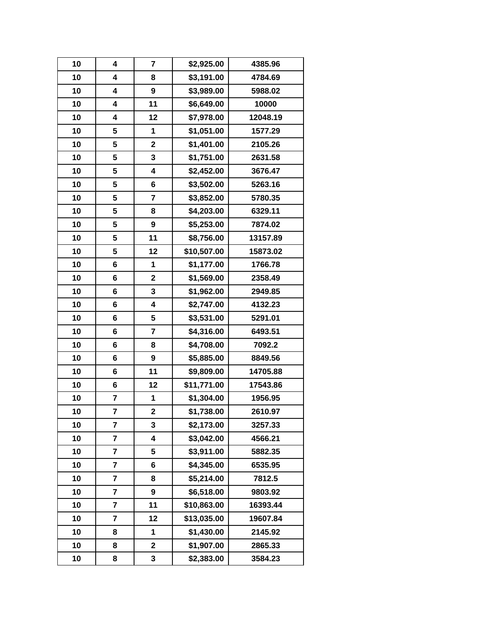| 10 | 4                       | $\overline{\mathbf{r}}$ | \$2,925.00  | 4385.96  |
|----|-------------------------|-------------------------|-------------|----------|
| 10 | 4                       | 8                       | \$3,191.00  | 4784.69  |
| 10 | 4                       | 9                       | \$3,989.00  | 5988.02  |
| 10 | 4                       | 11                      | \$6,649.00  | 10000    |
| 10 | 4                       | 12                      | \$7,978.00  | 12048.19 |
| 10 | 5                       | 1                       | \$1,051.00  | 1577.29  |
| 10 | 5                       | $\mathbf 2$             | \$1,401.00  | 2105.26  |
| 10 | 5                       | 3                       | \$1,751.00  | 2631.58  |
| 10 | 5                       | 4                       | \$2,452.00  | 3676.47  |
| 10 | 5                       | 6                       | \$3,502.00  | 5263.16  |
| 10 | 5                       | $\overline{\mathbf{r}}$ | \$3,852.00  | 5780.35  |
| 10 | 5                       | 8                       | \$4,203.00  | 6329.11  |
| 10 | 5                       | 9                       | \$5,253.00  | 7874.02  |
| 10 | 5                       | 11                      | \$8,756.00  | 13157.89 |
| 10 | 5                       | 12                      | \$10,507.00 | 15873.02 |
| 10 | 6                       | 1                       | \$1,177.00  | 1766.78  |
| 10 | 6                       | $\mathbf 2$             | \$1,569.00  | 2358.49  |
| 10 | 6                       | 3                       | \$1,962.00  | 2949.85  |
| 10 | 6                       | 4                       | \$2,747.00  | 4132.23  |
| 10 | 6                       | 5                       | \$3,531.00  | 5291.01  |
| 10 | 6                       | $\overline{\mathbf{r}}$ | \$4,316.00  | 6493.51  |
| 10 | 6                       | 8                       | \$4,708.00  | 7092.2   |
| 10 | 6                       | 9                       | \$5,885.00  | 8849.56  |
| 10 | 6                       | 11                      | \$9,809.00  | 14705.88 |
| 10 | 6                       | 12                      | \$11,771.00 | 17543.86 |
| 10 | 7                       | 1                       | \$1,304.00  | 1956.95  |
| 10 | 7                       | $\overline{\mathbf{c}}$ | \$1,738.00  | 2610.97  |
| 10 | $\overline{\mathbf{r}}$ | 3                       | \$2,173.00  | 3257.33  |
| 10 | 7                       | 4                       | \$3,042.00  | 4566.21  |
| 10 | 7                       | 5                       | \$3,911.00  | 5882.35  |
| 10 | 7                       | 6                       | \$4,345.00  | 6535.95  |
| 10 | 7                       | 8                       | \$5,214.00  | 7812.5   |
| 10 | 7                       | 9                       | \$6,518.00  | 9803.92  |
| 10 | 7                       | 11                      | \$10,863.00 | 16393.44 |
| 10 | $\overline{\mathbf{r}}$ | 12                      | \$13,035.00 | 19607.84 |
| 10 | 8                       | 1                       | \$1,430.00  | 2145.92  |
| 10 | 8                       | $\mathbf 2$             | \$1,907.00  | 2865.33  |
| 10 | 8                       | 3                       | \$2,383.00  | 3584.23  |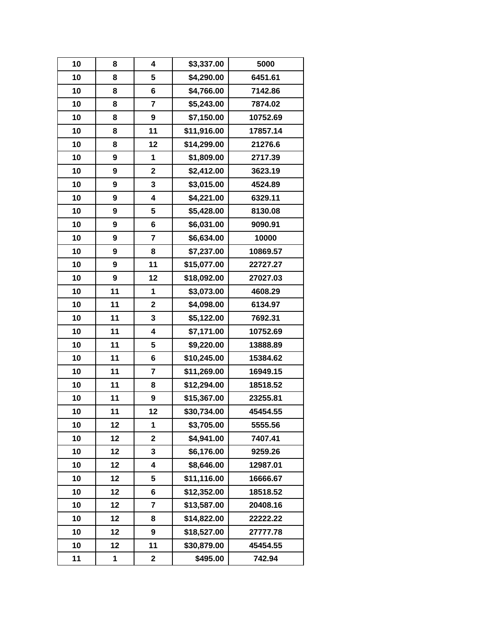| 10 | 8  | 4                       | \$3,337.00  | 5000     |
|----|----|-------------------------|-------------|----------|
| 10 | 8  | 5                       | \$4,290.00  | 6451.61  |
| 10 | 8  | 6                       | \$4,766.00  | 7142.86  |
| 10 | 8  | $\overline{7}$          | \$5,243.00  | 7874.02  |
| 10 | 8  | 9                       | \$7,150.00  | 10752.69 |
| 10 | 8  | 11                      | \$11,916.00 | 17857.14 |
| 10 | 8  | 12                      | \$14,299.00 | 21276.6  |
| 10 | 9  | 1                       | \$1,809.00  | 2717.39  |
| 10 | 9  | $\overline{\mathbf{2}}$ | \$2,412.00  | 3623.19  |
| 10 | 9  | 3                       | \$3,015.00  | 4524.89  |
| 10 | 9  | 4                       | \$4,221.00  | 6329.11  |
| 10 | 9  | 5                       | \$5,428.00  | 8130.08  |
| 10 | 9  | 6                       | \$6,031.00  | 9090.91  |
| 10 | 9  | 7                       | \$6,634.00  | 10000    |
| 10 | 9  | 8                       | \$7,237.00  | 10869.57 |
| 10 | 9  | 11                      | \$15,077.00 | 22727.27 |
| 10 | 9  | 12                      | \$18,092.00 | 27027.03 |
| 10 | 11 | 1                       | \$3,073.00  | 4608.29  |
| 10 | 11 | $\overline{\mathbf{c}}$ | \$4,098.00  | 6134.97  |
| 10 | 11 | 3                       | \$5,122.00  | 7692.31  |
| 10 | 11 | 4                       | \$7,171.00  | 10752.69 |
| 10 | 11 | 5                       | \$9,220.00  | 13888.89 |
| 10 | 11 | $\bf 6$                 | \$10,245.00 | 15384.62 |
| 10 | 11 | 7                       | \$11,269.00 | 16949.15 |
| 10 | 11 | 8                       | \$12,294.00 | 18518.52 |
| 10 | 11 | 9                       | \$15,367.00 | 23255.81 |
| 10 | 11 | 12                      | \$30,734.00 | 45454.55 |
| 10 | 12 | 1                       | \$3,705.00  | 5555.56  |
| 10 | 12 | $\overline{\mathbf{2}}$ | \$4,941.00  | 7407.41  |
| 10 | 12 | 3                       | \$6,176.00  | 9259.26  |
| 10 | 12 | 4                       | \$8,646.00  | 12987.01 |
| 10 | 12 | 5                       | \$11,116.00 | 16666.67 |
| 10 | 12 | 6                       | \$12,352.00 | 18518.52 |
| 10 | 12 | $\overline{7}$          | \$13,587.00 | 20408.16 |
| 10 | 12 | 8                       | \$14,822.00 | 22222.22 |
| 10 | 12 | 9                       | \$18,527.00 | 27777.78 |
| 10 | 12 | 11                      | \$30,879.00 | 45454.55 |
| 11 | 1  | $\mathbf 2$             | \$495.00    | 742.94   |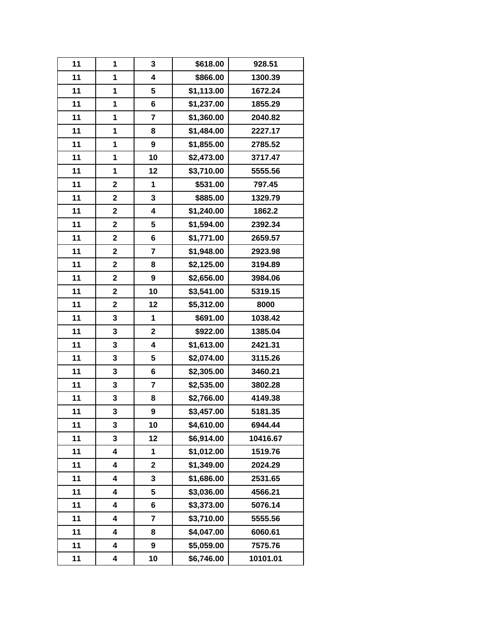| 11 | 1                       | 3                       | \$618.00   | 928.51   |
|----|-------------------------|-------------------------|------------|----------|
| 11 | 1                       | 4                       | \$866.00   | 1300.39  |
| 11 | 1                       | 5                       | \$1,113.00 | 1672.24  |
| 11 | 1                       | 6                       | \$1,237.00 | 1855.29  |
| 11 | 1                       | $\overline{\mathbf{r}}$ | \$1,360.00 | 2040.82  |
| 11 | 1                       | 8                       | \$1,484.00 | 2227.17  |
| 11 | 1                       | $\boldsymbol{9}$        | \$1,855.00 | 2785.52  |
| 11 | 1                       | 10                      | \$2,473.00 | 3717.47  |
| 11 | 1                       | 12                      | \$3,710.00 | 5555.56  |
| 11 | $\overline{\mathbf{2}}$ | 1                       | \$531.00   | 797.45   |
| 11 | $\mathbf 2$             | 3                       | \$885.00   | 1329.79  |
| 11 | $\overline{\mathbf{2}}$ | 4                       | \$1,240.00 | 1862.2   |
| 11 | $\mathbf 2$             | 5                       | \$1,594.00 | 2392.34  |
| 11 | $\mathbf 2$             | 6                       | \$1,771.00 | 2659.57  |
| 11 | $\mathbf 2$             | $\overline{7}$          | \$1,948.00 | 2923.98  |
| 11 | $\overline{\mathbf{2}}$ | 8                       | \$2,125.00 | 3194.89  |
| 11 | $\overline{\mathbf{2}}$ | $\boldsymbol{9}$        | \$2,656.00 | 3984.06  |
| 11 | $\mathbf 2$             | 10                      | \$3,541.00 | 5319.15  |
| 11 | $\overline{\mathbf{2}}$ | 12                      | \$5,312.00 | 8000     |
| 11 | 3                       | 1                       | \$691.00   | 1038.42  |
| 11 | 3                       | $\mathbf 2$             | \$922.00   | 1385.04  |
| 11 | 3                       | 4                       | \$1,613.00 | 2421.31  |
| 11 | 3                       | 5                       | \$2,074.00 | 3115.26  |
| 11 | 3                       | 6                       | \$2,305.00 | 3460.21  |
| 11 | 3                       | $\overline{7}$          | \$2,535.00 | 3802.28  |
| 11 | 3                       | 8                       | \$2,766.00 | 4149.38  |
| 11 | 3                       | 9                       | \$3,457.00 | 5181.35  |
| 11 | 3                       | 10                      | \$4,610.00 | 6944.44  |
| 11 | 3                       | 12                      | \$6,914.00 | 10416.67 |
| 11 | 4                       | 1                       | \$1,012.00 | 1519.76  |
| 11 | 4                       | $\mathbf 2$             | \$1,349.00 | 2024.29  |
| 11 | 4                       | 3                       | \$1,686.00 | 2531.65  |
| 11 | 4                       | 5                       | \$3,036.00 | 4566.21  |
| 11 | 4                       | 6                       | \$3,373.00 | 5076.14  |
| 11 | 4                       | $\overline{7}$          | \$3,710.00 | 5555.56  |
| 11 | 4                       | 8                       | \$4,047.00 | 6060.61  |
| 11 | 4                       | 9                       | \$5,059.00 | 7575.76  |
| 11 | 4                       | 10                      | \$6,746.00 | 10101.01 |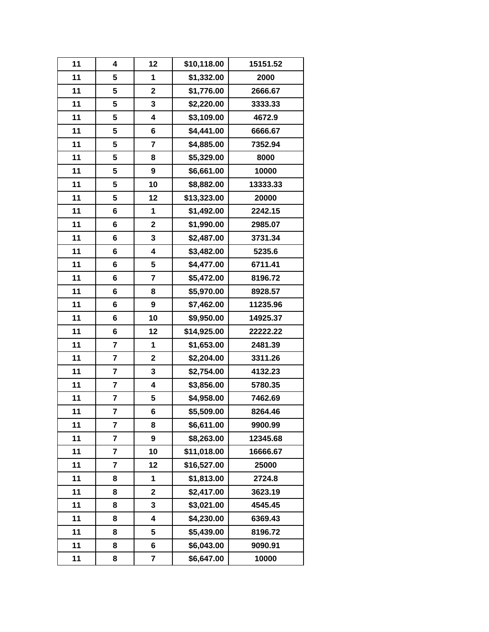| 11 | 4                       | 12                      | \$10,118.00 | 15151.52 |
|----|-------------------------|-------------------------|-------------|----------|
| 11 | 5                       | 1                       | \$1,332.00  | 2000     |
| 11 | 5                       | $\mathbf 2$             | \$1,776.00  | 2666.67  |
| 11 | 5                       | 3                       | \$2,220.00  | 3333.33  |
| 11 | 5                       | 4                       | \$3,109.00  | 4672.9   |
| 11 | 5                       | $6\phantom{1}6$         | \$4,441.00  | 6666.67  |
| 11 | 5                       | 7                       | \$4,885.00  | 7352.94  |
| 11 | 5                       | 8                       | \$5,329.00  | 8000     |
| 11 | 5                       | 9                       | \$6,661.00  | 10000    |
| 11 | 5                       | 10                      | \$8,882.00  | 13333.33 |
| 11 | 5                       | 12                      | \$13,323.00 | 20000    |
| 11 | 6                       | 1                       | \$1,492.00  | 2242.15  |
| 11 | 6                       | $\mathbf 2$             | \$1,990.00  | 2985.07  |
| 11 | 6                       | 3                       | \$2,487.00  | 3731.34  |
| 11 | 6                       | 4                       | \$3,482.00  | 5235.6   |
| 11 | 6                       | 5                       | \$4,477.00  | 6711.41  |
| 11 | 6                       | 7                       | \$5,472.00  | 8196.72  |
| 11 | 6                       | 8                       | \$5,970.00  | 8928.57  |
| 11 | 6                       | 9                       | \$7,462.00  | 11235.96 |
| 11 | 6                       | 10                      | \$9,950.00  | 14925.37 |
| 11 | 6                       | 12                      | \$14,925.00 | 22222.22 |
| 11 | $\overline{\mathbf{r}}$ | 1                       | \$1,653.00  | 2481.39  |
| 11 | 7                       | $\mathbf{2}$            | \$2,204.00  | 3311.26  |
| 11 | 7                       | 3                       | \$2,754.00  | 4132.23  |
| 11 | 7                       | $\overline{\mathbf{4}}$ | \$3,856.00  | 5780.35  |
| 11 | 7                       | 5                       | \$4,958.00  | 7462.69  |
| 11 | 7                       | 6                       | \$5,509.00  | 8264.46  |
| 11 | $\overline{\mathbf{r}}$ | 8                       | \$6,611.00  | 9900.99  |
| 11 | 7                       | 9                       | \$8,263.00  | 12345.68 |
| 11 | $\overline{\mathbf{r}}$ | 10                      | \$11,018.00 | 16666.67 |
| 11 | 7                       | 12                      | \$16,527.00 | 25000    |
| 11 | 8                       | 1                       | \$1,813.00  | 2724.8   |
| 11 | 8                       | $\mathbf 2$             | \$2,417.00  | 3623.19  |
| 11 | 8                       | 3                       | \$3,021.00  | 4545.45  |
| 11 | 8                       | $\overline{\mathbf{4}}$ | \$4,230.00  | 6369.43  |
| 11 | 8                       | 5                       | \$5,439.00  | 8196.72  |
| 11 | 8                       | 6                       | \$6,043.00  | 9090.91  |
| 11 | 8                       | $\overline{\mathbf{7}}$ | \$6,647.00  | 10000    |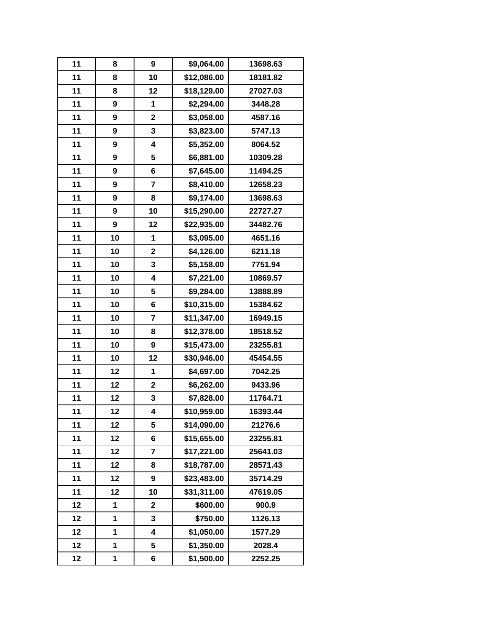| 11 | 8  | 9                       | \$9,064.00  | 13698.63 |
|----|----|-------------------------|-------------|----------|
| 11 | 8  | 10                      | \$12,086.00 | 18181.82 |
| 11 | 8  | 12                      | \$18,129.00 | 27027.03 |
| 11 | 9  | 1                       | \$2,294.00  | 3448.28  |
| 11 | 9  | $\mathbf 2$             | \$3,058.00  | 4587.16  |
| 11 | 9  | 3                       | \$3,823.00  | 5747.13  |
| 11 | 9  | 4                       | \$5,352.00  | 8064.52  |
| 11 | 9  | 5                       | \$6,881.00  | 10309.28 |
| 11 | 9  | 6                       | \$7,645.00  | 11494.25 |
| 11 | 9  | 7                       | \$8,410.00  | 12658.23 |
| 11 | 9  | 8                       | \$9,174.00  | 13698.63 |
| 11 | 9  | 10                      | \$15,290.00 | 22727.27 |
| 11 | 9  | 12                      | \$22,935.00 | 34482.76 |
| 11 | 10 | 1                       | \$3,095.00  | 4651.16  |
| 11 | 10 | $\mathbf 2$             | \$4,126.00  | 6211.18  |
| 11 | 10 | 3                       | \$5,158.00  | 7751.94  |
| 11 | 10 | 4                       | \$7,221.00  | 10869.57 |
| 11 | 10 | 5                       | \$9,284.00  | 13888.89 |
| 11 | 10 | 6                       | \$10,315.00 | 15384.62 |
| 11 | 10 | $\overline{7}$          | \$11,347.00 | 16949.15 |
| 11 | 10 | 8                       | \$12,378.00 | 18518.52 |
| 11 | 10 | 9                       | \$15,473.00 | 23255.81 |
| 11 | 10 | 12                      | \$30,946.00 | 45454.55 |
| 11 | 12 | 1                       | \$4,697.00  | 7042.25  |
| 11 | 12 | $\mathbf 2$             | \$6,262.00  | 9433.96  |
| 11 | 12 | 3                       | \$7,828.00  | 11764.71 |
| 11 | 12 | 4                       | \$10,959.00 | 16393.44 |
| 11 | 12 | 5                       | \$14,090.00 | 21276.6  |
| 11 | 12 | 6                       | \$15,655.00 | 23255.81 |
| 11 | 12 | $\overline{7}$          | \$17,221.00 | 25641.03 |
| 11 | 12 | 8                       | \$18,787.00 | 28571.43 |
| 11 | 12 | 9                       | \$23,483.00 | 35714.29 |
| 11 | 12 | 10                      | \$31,311.00 | 47619.05 |
| 12 | 1  | $\overline{\mathbf{2}}$ | \$600.00    | 900.9    |
| 12 | 1  | 3                       | \$750.00    | 1126.13  |
| 12 | 1  | 4                       | \$1,050.00  | 1577.29  |
| 12 | 1  | 5                       | \$1,350.00  | 2028.4   |
| 12 | 1  | 6                       | \$1,500.00  | 2252.25  |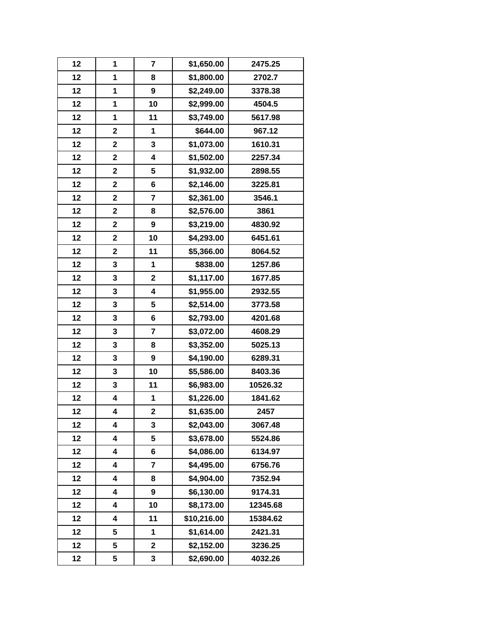| 12 | 1                       | $\overline{7}$          | \$1,650.00  | 2475.25  |
|----|-------------------------|-------------------------|-------------|----------|
| 12 | 1                       | 8                       | \$1,800.00  | 2702.7   |
| 12 | 1                       | 9                       | \$2,249.00  | 3378.38  |
| 12 | 1                       | 10                      | \$2,999.00  | 4504.5   |
| 12 | 1                       | 11                      | \$3,749.00  | 5617.98  |
| 12 | $\mathbf 2$             | 1                       | \$644.00    | 967.12   |
| 12 | $\overline{\mathbf{2}}$ | 3                       | \$1,073.00  | 1610.31  |
| 12 | $\overline{\mathbf{2}}$ | $\overline{\mathbf{4}}$ | \$1,502.00  | 2257.34  |
| 12 | $\overline{\mathbf{2}}$ | 5                       | \$1,932.00  | 2898.55  |
| 12 | $\overline{\mathbf{2}}$ | 6                       | \$2,146.00  | 3225.81  |
| 12 | $\overline{\mathbf{2}}$ | $\overline{7}$          | \$2,361.00  | 3546.1   |
| 12 | $\mathbf 2$             | 8                       | \$2,576.00  | 3861     |
| 12 | $\mathbf 2$             | 9                       | \$3,219.00  | 4830.92  |
| 12 | $\overline{\mathbf{2}}$ | 10                      | \$4,293.00  | 6451.61  |
| 12 | $\mathbf 2$             | 11                      | \$5,366.00  | 8064.52  |
| 12 | 3                       | 1                       | \$838.00    | 1257.86  |
| 12 | 3                       | $\mathbf 2$             | \$1,117.00  | 1677.85  |
| 12 | 3                       | $\overline{\mathbf{4}}$ | \$1,955.00  | 2932.55  |
| 12 | 3                       | 5                       | \$2,514.00  | 3773.58  |
| 12 | 3                       | 6                       | \$2,793.00  | 4201.68  |
| 12 | 3                       | $\overline{\mathbf{7}}$ | \$3,072.00  | 4608.29  |
| 12 | 3                       | 8                       | \$3,352.00  | 5025.13  |
| 12 | 3                       | $\boldsymbol{9}$        | \$4,190.00  | 6289.31  |
| 12 | 3                       | 10                      | \$5,586.00  | 8403.36  |
| 12 | 3                       | 11                      | \$6,983.00  | 10526.32 |
| 12 | 4                       | 1                       | \$1,226.00  | 1841.62  |
| 12 | 4                       | $\mathbf 2$             | \$1,635.00  | 2457     |
| 12 | 4                       | $\mathbf{3}$            | \$2,043.00  | 3067.48  |
| 12 | 4                       | 5                       | \$3,678.00  | 5524.86  |
| 12 | 4                       | 6                       | \$4,086.00  | 6134.97  |
| 12 | 4                       | 7                       | \$4,495.00  | 6756.76  |
| 12 | 4                       | 8                       | \$4,904.00  | 7352.94  |
| 12 | 4                       | 9                       | \$6,130.00  | 9174.31  |
| 12 | 4                       | 10                      | \$8,173.00  | 12345.68 |
| 12 | 4                       | 11                      | \$10,216.00 | 15384.62 |
| 12 | 5                       | 1                       | \$1,614.00  | 2421.31  |
| 12 | 5                       | $\mathbf 2$             | \$2,152.00  | 3236.25  |
| 12 | 5                       | 3                       | \$2,690.00  | 4032.26  |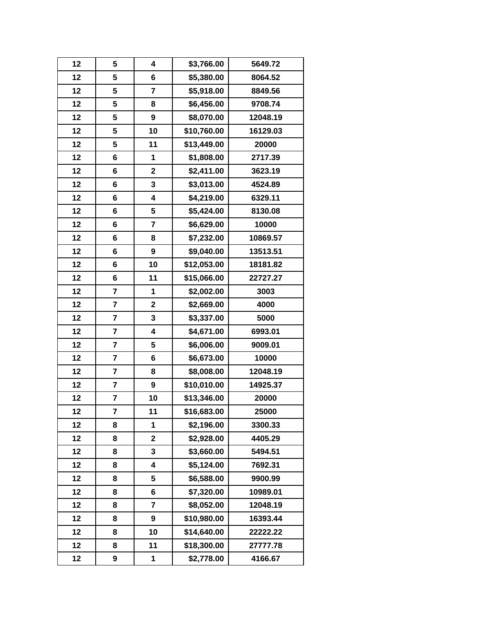| 12 | 5                       | 4                       | \$3,766.00  | 5649.72  |
|----|-------------------------|-------------------------|-------------|----------|
| 12 | 5                       | 6                       | \$5,380.00  | 8064.52  |
| 12 | 5                       | $\overline{\mathbf{r}}$ | \$5,918.00  | 8849.56  |
| 12 | 5                       | 8                       | \$6,456.00  | 9708.74  |
| 12 | 5                       | $\boldsymbol{9}$        | \$8,070.00  | 12048.19 |
| 12 | 5                       | 10                      | \$10,760.00 | 16129.03 |
| 12 | 5                       | 11                      | \$13,449.00 | 20000    |
| 12 | 6                       | 1                       | \$1,808.00  | 2717.39  |
| 12 | 6                       | $\mathbf 2$             | \$2,411.00  | 3623.19  |
| 12 | 6                       | 3                       | \$3,013.00  | 4524.89  |
| 12 | 6                       | 4                       | \$4,219.00  | 6329.11  |
| 12 | 6                       | 5                       | \$5,424.00  | 8130.08  |
| 12 | 6                       | $\overline{7}$          | \$6,629.00  | 10000    |
| 12 | 6                       | 8                       | \$7,232.00  | 10869.57 |
| 12 | 6                       | $\boldsymbol{9}$        | \$9,040.00  | 13513.51 |
| 12 | 6                       | 10                      | \$12,053.00 | 18181.82 |
| 12 | 6                       | 11                      | \$15,066.00 | 22727.27 |
| 12 | 7                       | 1                       | \$2,002.00  | 3003     |
| 12 | 7                       | $\mathbf 2$             | \$2,669.00  | 4000     |
| 12 | $\overline{\mathbf{r}}$ | 3                       | \$3,337.00  | 5000     |
| 12 | 7                       | 4                       | \$4,671.00  | 6993.01  |
| 12 | $\overline{\mathbf{r}}$ | 5                       | \$6,006.00  | 9009.01  |
| 12 | 7                       | 6                       | \$6,673.00  | 10000    |
| 12 | 7                       | 8                       | \$8,008.00  | 12048.19 |
| 12 | $\overline{\mathbf{r}}$ | $\boldsymbol{9}$        | \$10,010.00 | 14925.37 |
| 12 | 7                       | 10                      | \$13,346.00 | 20000    |
| 12 | 7                       | 11                      | \$16,683.00 | 25000    |
| 12 | 8                       | 1                       | \$2,196.00  | 3300.33  |
| 12 | 8                       | $\overline{\mathbf{2}}$ | \$2,928.00  | 4405.29  |
| 12 | 8                       | 3                       | \$3,660.00  | 5494.51  |
| 12 | 8                       | 4                       | \$5,124.00  | 7692.31  |
| 12 | 8                       | 5                       | \$6,588.00  | 9900.99  |
| 12 | 8                       | 6                       | \$7,320.00  | 10989.01 |
| 12 | 8                       | $\overline{\mathbf{r}}$ | \$8,052.00  | 12048.19 |
| 12 | 8                       | 9                       | \$10,980.00 | 16393.44 |
| 12 | 8                       | 10                      | \$14,640.00 | 22222.22 |
| 12 | 8                       | 11                      | \$18,300.00 | 27777.78 |
| 12 | 9                       | 1                       | \$2,778.00  | 4166.67  |